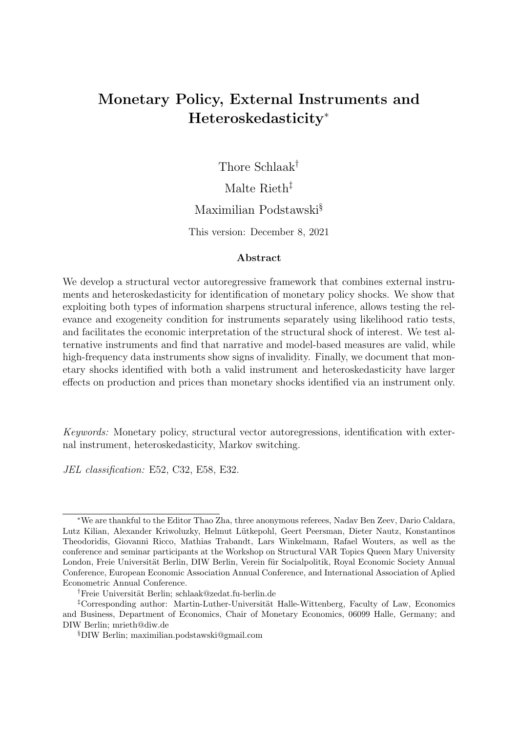# Monetary Policy, External Instruments and Heteroskedasticity[∗](#page-0-0)

Thore Schlaak[†](#page-0-1)

Malte Rieth<sup>[‡](#page-0-2)</sup>

# Maximilian Podstawski[§](#page-0-3)

This version: December 8, 2021

#### Abstract

We develop a structural vector autoregressive framework that combines external instruments and heteroskedasticity for identification of monetary policy shocks. We show that exploiting both types of information sharpens structural inference, allows testing the relevance and exogeneity condition for instruments separately using likelihood ratio tests, and facilitates the economic interpretation of the structural shock of interest. We test alternative instruments and find that narrative and model-based measures are valid, while high-frequency data instruments show signs of invalidity. Finally, we document that monetary shocks identified with both a valid instrument and heteroskedasticity have larger effects on production and prices than monetary shocks identified via an instrument only.

Keywords: Monetary policy, structural vector autoregressions, identification with external instrument, heteroskedasticity, Markov switching.

JEL classification: E52, C32, E58, E32.

<span id="page-0-0"></span><sup>∗</sup>We are thankful to the Editor Thao Zha, three anonymous referees, Nadav Ben Zeev, Dario Caldara, Lutz Kilian, Alexander Kriwoluzky, Helmut Lütkepohl, Geert Peersman, Dieter Nautz, Konstantinos Theodoridis, Giovanni Ricco, Mathias Trabandt, Lars Winkelmann, Rafael Wouters, as well as the conference and seminar participants at the Workshop on Structural VAR Topics Queen Mary University London, Freie Universität Berlin, DIW Berlin, Verein für Socialpolitik, Royal Economic Society Annual Conference, European Economic Association Annual Conference, and International Association of Aplied Econometric Annual Conference.

<span id="page-0-2"></span><span id="page-0-1"></span><sup>&</sup>lt;sup>†</sup>Freie Universität Berlin; schlaak@zedat.fu-berlin.de

<sup>&</sup>lt;sup>‡</sup>Corresponding author: Martin-Luther-Universität Halle-Wittenberg, Faculty of Law, Economics and Business, Department of Economics, Chair of Monetary Economics, 06099 Halle, Germany; and DIW Berlin; mrieth@diw.de

<span id="page-0-3"></span><sup>§</sup>DIW Berlin; maximilian.podstawski@gmail.com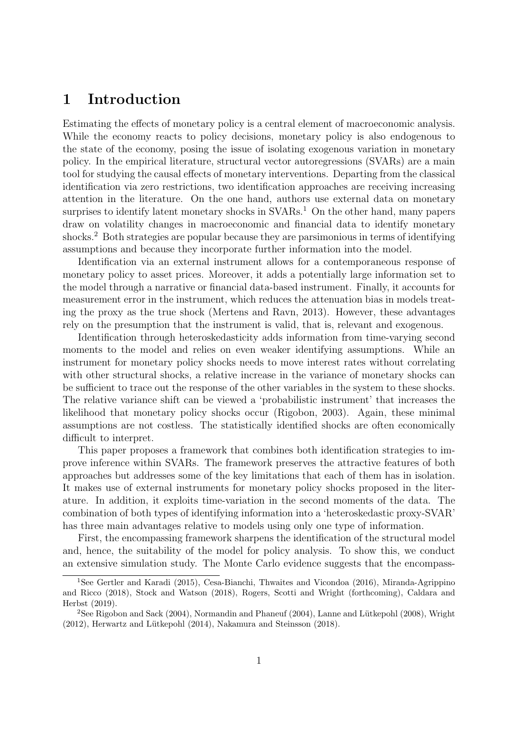# 1 Introduction

Estimating the effects of monetary policy is a central element of macroeconomic analysis. While the economy reacts to policy decisions, monetary policy is also endogenous to the state of the economy, posing the issue of isolating exogenous variation in monetary policy. In the empirical literature, structural vector autoregressions (SVARs) are a main tool for studying the causal effects of monetary interventions. Departing from the classical identification via zero restrictions, two identification approaches are receiving increasing attention in the literature. On the one hand, authors use external data on monetary surprises to identify latent monetary shocks in  $SVARs<sup>1</sup>$  $SVARs<sup>1</sup>$  $SVARs<sup>1</sup>$ . On the other hand, many papers draw on volatility changes in macroeconomic and financial data to identify monetary shocks.<sup>[2](#page-1-1)</sup> Both strategies are popular because they are parsimonious in terms of identifying assumptions and because they incorporate further information into the model.

Identification via an external instrument allows for a contemporaneous response of monetary policy to asset prices. Moreover, it adds a potentially large information set to the model through a narrative or financial data-based instrument. Finally, it accounts for measurement error in the instrument, which reduces the attenuation bias in models treating the proxy as the true shock (Mertens and Ravn, 2013). However, these advantages rely on the presumption that the instrument is valid, that is, relevant and exogenous.

Identification through heteroskedasticity adds information from time-varying second moments to the model and relies on even weaker identifying assumptions. While an instrument for monetary policy shocks needs to move interest rates without correlating with other structural shocks, a relative increase in the variance of monetary shocks can be sufficient to trace out the response of the other variables in the system to these shocks. The relative variance shift can be viewed a 'probabilistic instrument' that increases the likelihood that monetary policy shocks occur (Rigobon, 2003). Again, these minimal assumptions are not costless. The statistically identified shocks are often economically difficult to interpret.

This paper proposes a framework that combines both identification strategies to improve inference within SVARs. The framework preserves the attractive features of both approaches but addresses some of the key limitations that each of them has in isolation. It makes use of external instruments for monetary policy shocks proposed in the literature. In addition, it exploits time-variation in the second moments of the data. The combination of both types of identifying information into a 'heteroskedastic proxy-SVAR' has three main advantages relative to models using only one type of information.

First, the encompassing framework sharpens the identification of the structural model and, hence, the suitability of the model for policy analysis. To show this, we conduct an extensive simulation study. The Monte Carlo evidence suggests that the encompass-

<span id="page-1-0"></span><sup>1</sup>See Gertler and Karadi (2015), Cesa-Bianchi, Thwaites and Vicondoa (2016), Miranda-Agrippino and Ricco (2018), Stock and Watson (2018), Rogers, Scotti and Wright (forthcoming), Caldara and Herbst (2019).

<span id="page-1-1"></span><sup>&</sup>lt;sup>2</sup>See Rigobon and Sack (2004), Normandin and Phaneuf (2004), Lanne and Lütkepohl (2008), Wright  $(2012)$ , Herwartz and Lütkepohl  $(2014)$ , Nakamura and Steinsson  $(2018)$ .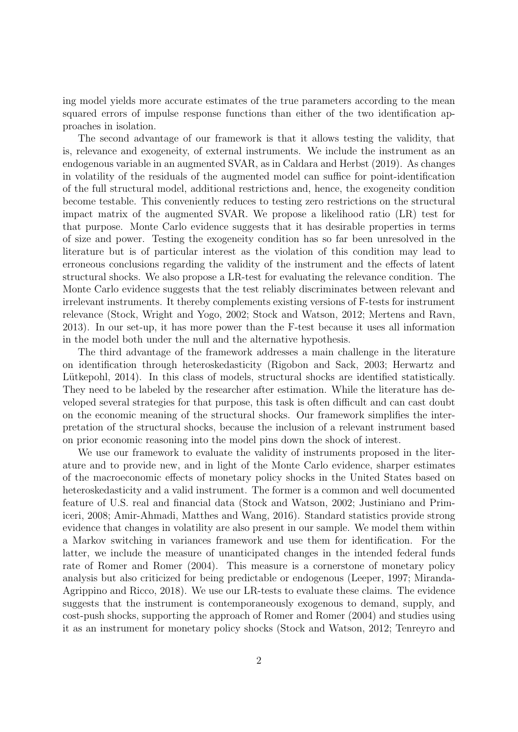ing model yields more accurate estimates of the true parameters according to the mean squared errors of impulse response functions than either of the two identification approaches in isolation.

The second advantage of our framework is that it allows testing the validity, that is, relevance and exogeneity, of external instruments. We include the instrument as an endogenous variable in an augmented SVAR, as in Caldara and Herbst (2019). As changes in volatility of the residuals of the augmented model can suffice for point-identification of the full structural model, additional restrictions and, hence, the exogeneity condition become testable. This conveniently reduces to testing zero restrictions on the structural impact matrix of the augmented SVAR. We propose a likelihood ratio (LR) test for that purpose. Monte Carlo evidence suggests that it has desirable properties in terms of size and power. Testing the exogeneity condition has so far been unresolved in the literature but is of particular interest as the violation of this condition may lead to erroneous conclusions regarding the validity of the instrument and the effects of latent structural shocks. We also propose a LR-test for evaluating the relevance condition. The Monte Carlo evidence suggests that the test reliably discriminates between relevant and irrelevant instruments. It thereby complements existing versions of F-tests for instrument relevance (Stock, Wright and Yogo, 2002; Stock and Watson, 2012; Mertens and Ravn, 2013). In our set-up, it has more power than the F-test because it uses all information in the model both under the null and the alternative hypothesis.

The third advantage of the framework addresses a main challenge in the literature on identification through heteroskedasticity (Rigobon and Sack, 2003; Herwartz and Lütkepohl, 2014). In this class of models, structural shocks are identified statistically. They need to be labeled by the researcher after estimation. While the literature has developed several strategies for that purpose, this task is often difficult and can cast doubt on the economic meaning of the structural shocks. Our framework simplifies the interpretation of the structural shocks, because the inclusion of a relevant instrument based on prior economic reasoning into the model pins down the shock of interest.

We use our framework to evaluate the validity of instruments proposed in the literature and to provide new, and in light of the Monte Carlo evidence, sharper estimates of the macroeconomic effects of monetary policy shocks in the United States based on heteroskedasticity and a valid instrument. The former is a common and well documented feature of U.S. real and financial data (Stock and Watson, 2002; Justiniano and Primiceri, 2008; Amir-Ahmadi, Matthes and Wang, 2016). Standard statistics provide strong evidence that changes in volatility are also present in our sample. We model them within a Markov switching in variances framework and use them for identification. For the latter, we include the measure of unanticipated changes in the intended federal funds rate of Romer and Romer (2004). This measure is a cornerstone of monetary policy analysis but also criticized for being predictable or endogenous (Leeper, 1997; Miranda-Agrippino and Ricco, 2018). We use our LR-tests to evaluate these claims. The evidence suggests that the instrument is contemporaneously exogenous to demand, supply, and cost-push shocks, supporting the approach of Romer and Romer (2004) and studies using it as an instrument for monetary policy shocks (Stock and Watson, 2012; Tenreyro and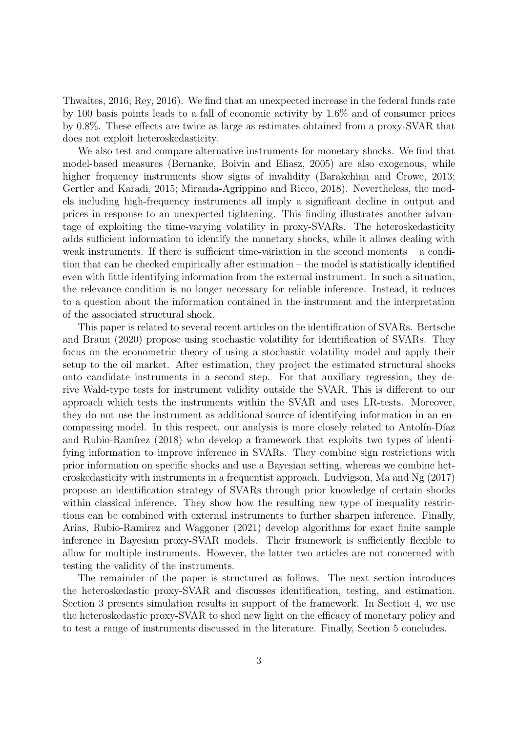Thwaites, 2016; Rey, 2016). We find that an unexpected increase in the federal funds rate by 100 basis points leads to a fall of economic activity by 1.6% and of consumer prices by 0.8%. These effects are twice as large as estimates obtained from a proxy-SVAR that does not exploit heteroskedasticity.

We also test and compare alternative instruments for monetary shocks. We find that model-based measures (Bernanke, Boivin and Eliasz, 2005) are also exogenous, while higher frequency instruments show signs of invalidity (Barakchian and Crowe, 2013; Gertler and Karadi, 2015; Miranda-Agrippino and Ricco, 2018). Nevertheless, the models including high-frequency instruments all imply a significant decline in output and prices in response to an unexpected tightening. This finding illustrates another advantage of exploiting the time-varying volatility in proxy-SVARs. The heteroskedasticity adds sufficient information to identify the monetary shocks, while it allows dealing with weak instruments. If there is sufficient time-variation in the second moments  $-$  a condition that can be checked empirically after estimation – the model is statistically identified even with little identifying information from the external instrument. In such a situation, the relevance condition is no longer necessary for reliable inference. Instead, it reduces to a question about the information contained in the instrument and the interpretation of the associated structural shock.

This paper is related to several recent articles on the identification of SVARs. Bertsche and Braun (2020) propose using stochastic volatility for identification of SVARs. They focus on the econometric theory of using a stochastic volatility model and apply their setup to the oil market. After estimation, they project the estimated structural shocks onto candidate instruments in a second step. For that auxiliary regression, they derive Wald-type tests for instrument validity outside the SVAR. This is different to our approach which tests the instruments within the SVAR and uses LR-tests. Moreover, they do not use the instrument as additional source of identifying information in an encompassing model. In this respect, our analysis is more closely related to Antolin-Díaz and Rubio-Ramírez  $(2018)$  who develop a framework that exploits two types of identifying information to improve inference in SVARs. They combine sign restrictions with prior information on specific shocks and use a Bayesian setting, whereas we combine heteroskedasticity with instruments in a frequentist approach. Ludvigson, Ma and Ng (2017) propose an identification strategy of SVARs through prior knowledge of certain shocks within classical inference. They show how the resulting new type of inequality restrictions can be combined with external instruments to further sharpen inference. Finally, Arias, Rubio-Ramirez and Waggoner (2021) develop algorithms for exact finite sample inference in Bayesian proxy-SVAR models. Their framework is sufficiently flexible to allow for multiple instruments. However, the latter two articles are not concerned with testing the validity of the instruments.

The remainder of the paper is structured as follows. The next section introduces the heteroskedastic proxy-SVAR and discusses identification, testing, and estimation. Section [3](#page-9-0) presents simulation results in support of the framework. In Section [4,](#page-21-0) we use the heteroskedastic proxy-SVAR to shed new light on the efficacy of monetary policy and to test a range of instruments discussed in the literature. Finally, Section [5](#page-35-0) concludes.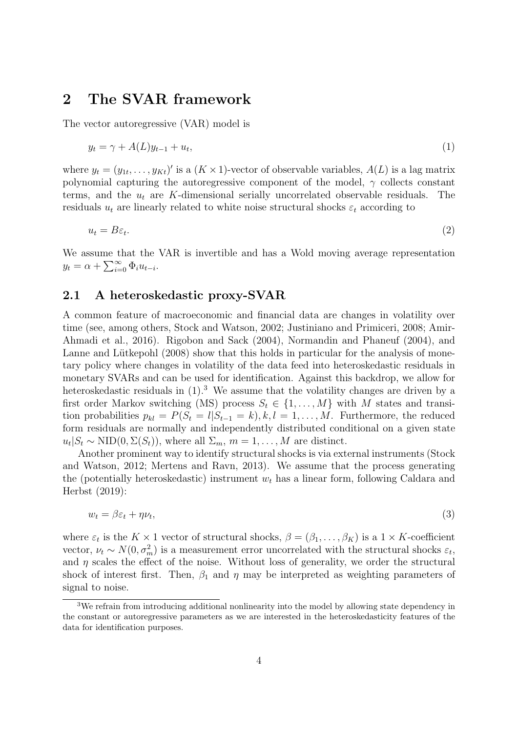# 2 The SVAR framework

The vector autoregressive (VAR) model is

<span id="page-4-0"></span>
$$
y_t = \gamma + A(L)y_{t-1} + u_t,\tag{1}
$$

where  $y_t = (y_{1t}, \ldots, y_{Kt})'$  is a  $(K \times 1)$ -vector of observable variables,  $A(L)$  is a lag matrix polynomial capturing the autoregressive component of the model,  $\gamma$  collects constant terms, and the  $u_t$  are K-dimensional serially uncorrelated observable residuals. The residuals  $u_t$  are linearly related to white noise structural shocks  $\varepsilon_t$  according to

$$
u_t = B\varepsilon_t. \tag{2}
$$

We assume that the VAR is invertible and has a Wold moving average representation  $y_t = \alpha + \sum_{i=0}^{\infty} \Phi_i u_{t-i}.$ 

# <span id="page-4-3"></span>2.1 A heteroskedastic proxy-SVAR

A common feature of macroeconomic and financial data are changes in volatility over time (see, among others, Stock and Watson, 2002; Justiniano and Primiceri, 2008; Amir-Ahmadi et al., 2016). Rigobon and Sack (2004), Normandin and Phaneuf (2004), and Lanne and Lütkepohl  $(2008)$  show that this holds in particular for the analysis of monetary policy where changes in volatility of the data feed into heteroskedastic residuals in monetary SVARs and can be used for identification. Against this backdrop, we allow for heteroskedastic residuals in  $(1)$ .<sup>[3](#page-4-1)</sup> We assume that the volatility changes are driven by a first order Markov switching (MS) process  $S_t \in \{1, ..., M\}$  with M states and transition probabilities  $p_{kl} = P(S_t = l | S_{t-1} = k), k, l = 1, ..., M$ . Furthermore, the reduced form residuals are normally and independently distributed conditional on a given state  $u_t|S_t \sim \text{NID}(0, \Sigma(S_t)),$  where all  $\Sigma_m$ ,  $m = 1, ..., M$  are distinct.

Another prominent way to identify structural shocks is via external instruments (Stock and Watson, 2012; Mertens and Ravn, 2013). We assume that the process generating the (potentially heteroskedastic) instrument  $w_t$  has a linear form, following Caldara and Herbst (2019):

<span id="page-4-2"></span>
$$
w_t = \beta \varepsilon_t + \eta \nu_t,\tag{3}
$$

where  $\varepsilon_t$  is the  $K \times 1$  vector of structural shocks,  $\beta = (\beta_1, \dots, \beta_K)$  is a  $1 \times K$ -coefficient vector,  $\nu_t \sim N(0, \sigma_m^2)$  is a measurement error uncorrelated with the structural shocks  $\varepsilon_t$ , and  $\eta$  scales the effect of the noise. Without loss of generality, we order the structural shock of interest first. Then,  $\beta_1$  and  $\eta$  may be interpreted as weighting parameters of signal to noise.

<span id="page-4-1"></span><sup>3</sup>We refrain from introducing additional nonlinearity into the model by allowing state dependency in the constant or autoregressive parameters as we are interested in the heteroskedasticity features of the data for identification purposes.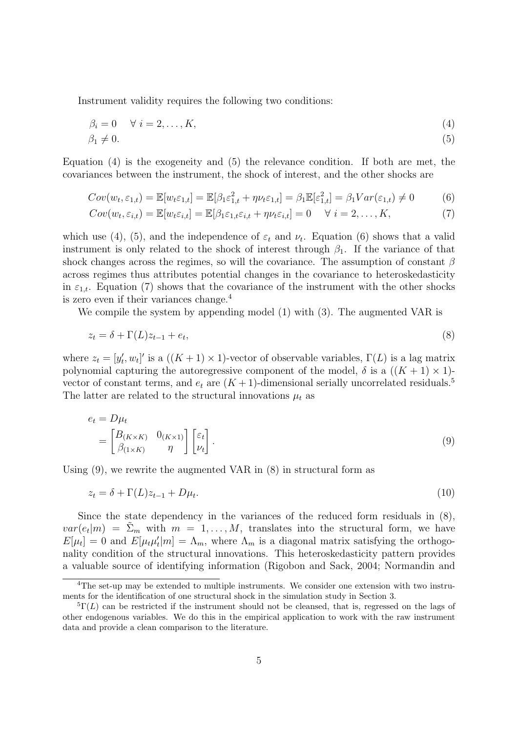Instrument validity requires the following two conditions:

<span id="page-5-1"></span><span id="page-5-0"></span>
$$
\beta_i = 0 \quad \forall \ i = 2, \dots, K,\tag{4}
$$

$$
\beta_1 \neq 0. \tag{5}
$$

Equation [\(4\)](#page-5-0) is the exogeneity and [\(5\)](#page-5-1) the relevance condition. If both are met, the covariances between the instrument, the shock of interest, and the other shocks are

$$
Cov(w_t, \varepsilon_{1,t}) = \mathbb{E}[w_t \varepsilon_{1,t}] = \mathbb{E}[\beta_1 \varepsilon_{1,t}^2 + \eta \nu_t \varepsilon_{1,t}] = \beta_1 \mathbb{E}[\varepsilon_{1,t}^2] = \beta_1 Var(\varepsilon_{1,t}) \neq 0 \tag{6}
$$

<span id="page-5-3"></span><span id="page-5-2"></span>
$$
Cov(w_t, \varepsilon_{i,t}) = \mathbb{E}[w_t \varepsilon_{i,t}] = \mathbb{E}[\beta_1 \varepsilon_{1,t} \varepsilon_{i,t} + \eta \nu_t \varepsilon_{i,t}] = 0 \quad \forall \ i = 2, ..., K,
$$
\n(7)

which use [\(4\)](#page-5-0), [\(5\)](#page-5-1), and the independence of  $\varepsilon_t$  and  $\nu_t$ . Equation [\(6\)](#page-5-2) shows that a valid instrument is only related to the shock of interest through  $\beta_1$ . If the variance of that shock changes across the regimes, so will the covariance. The assumption of constant  $\beta$ across regimes thus attributes potential changes in the covariance to heteroskedasticity in  $\varepsilon_{1,t}$ . Equation [\(7\)](#page-5-3) shows that the covariance of the instrument with the other shocks is zero even if their variances change.[4](#page-5-4)

We compile the system by appending model [\(1\)](#page-4-0) with [\(3\)](#page-4-2). The augmented VAR is

<span id="page-5-7"></span>
$$
z_t = \delta + \Gamma(L)z_{t-1} + e_t,\tag{8}
$$

where  $z_t = [y'_t, w_t]'$  is a  $((K + 1) \times 1)$ -vector of observable variables,  $\Gamma(L)$  is a lag matrix polynomial capturing the autoregressive component of the model,  $\delta$  is a  $((K + 1) \times 1)$ vector of constant terms, and  $e_t$  are  $(K+1)$ -dimensional serially uncorrelated residuals.<sup>[5](#page-5-5)</sup> The latter are related to the structural innovations  $\mu_t$  as

<span id="page-5-6"></span>
$$
e_t = D\mu_t
$$
  
=  $\begin{bmatrix} B_{(K \times K)} & 0_{(K \times 1)} \\ \beta_{(1 \times K)} & \eta \end{bmatrix} \begin{bmatrix} \varepsilon_t \\ \nu_t \end{bmatrix}.$  (9)

Using [\(9\)](#page-5-6), we rewrite the augmented VAR in [\(8\)](#page-5-7) in structural form as

<span id="page-5-8"></span>
$$
z_t = \delta + \Gamma(L)z_{t-1} + D\mu_t. \tag{10}
$$

Since the state dependency in the variances of the reduced form residuals in [\(8\)](#page-5-7),  $var(e_t|m) = \tilde{\Sigma}_m$  with  $m = 1, ..., M$ , translates into the structural form, we have  $E[\mu_t] = 0$  and  $E[\mu_t \mu'_t | m] = \Lambda_m$ , where  $\Lambda_m$  is a diagonal matrix satisfying the orthogonality condition of the structural innovations. This heteroskedasticity pattern provides a valuable source of identifying information (Rigobon and Sack, 2004; Normandin and

<span id="page-5-4"></span><sup>4</sup>The set-up may be extended to multiple instruments. We consider one extension with two instruments for the identification of one structural shock in the simulation study in Section [3.](#page-9-0)

<span id="page-5-5"></span> ${}^{5}\Gamma(L)$  can be restricted if the instrument should not be cleansed, that is, regressed on the lags of other endogenous variables. We do this in the empirical application to work with the raw instrument data and provide a clean comparison to the literature.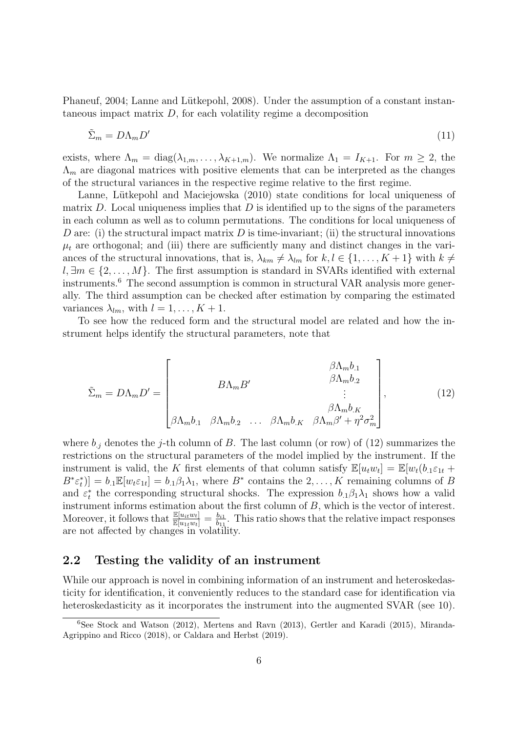Phaneuf, 2004; Lanne and Lütkepohl, 2008). Under the assumption of a constant instantaneous impact matrix  $D$ , for each volatility regime a decomposition

<span id="page-6-2"></span>
$$
\tilde{\Sigma}_m = D\Lambda_m D' \tag{11}
$$

exists, where  $\Lambda_m = \text{diag}(\lambda_{1,m}, \dots, \lambda_{K+1,m})$ . We normalize  $\Lambda_1 = I_{K+1}$ . For  $m \geq 2$ , the  $\Lambda_m$  are diagonal matrices with positive elements that can be interpreted as the changes of the structural variances in the respective regime relative to the first regime.

Lanne, Lütkepohl and Maciejowska (2010) state conditions for local uniqueness of matrix D. Local uniqueness implies that D is identified up to the signs of the parameters in each column as well as to column permutations. The conditions for local uniqueness of D are: (i) the structural impact matrix D is time-invariant; (ii) the structural innovations  $\mu_t$  are orthogonal; and (iii) there are sufficiently many and distinct changes in the variances of the structural innovations, that is,  $\lambda_{km} \neq \lambda_{lm}$  for  $k, l \in \{1, ..., K+1\}$  with  $k \neq$  $l, \exists m \in \{2, \ldots, M\}$ . The first assumption is standard in SVARs identified with external instruments.[6](#page-6-0) The second assumption is common in structural VAR analysis more generally. The third assumption can be checked after estimation by comparing the estimated variances  $\lambda_{lm}$ , with  $l = 1, \ldots, K + 1$ .

To see how the reduced form and the structural model are related and how the instrument helps identify the structural parameters, note that

<span id="page-6-1"></span>
$$
\tilde{\Sigma}_m = D\Lambda_m D' = \begin{bmatrix} \beta \Lambda_m b_1 \\ \beta \Lambda_m b_2 \\ \vdots \\ \beta \Lambda_m b_1 \\ \beta \Lambda_m b_2 \\ \dots \\ \beta \Lambda_m b_{22} \\ \dots \\ \beta \Lambda_m b_{K} \\ \beta \Lambda_m b_{K} \\ \beta \Lambda_m \beta' + \eta^2 \sigma_m^2 \end{bmatrix},
$$
\n(12)

where  $b_j$  denotes the j-th column of B. The last column (or row) of [\(12\)](#page-6-1) summarizes the restrictions on the structural parameters of the model implied by the instrument. If the instrument is valid, the K first elements of that column satisfy  $\mathbb{E}[u_t w_t] = \mathbb{E}[w_t(b_t) \varepsilon_{1t} +$  $B^*\varepsilon_t^*$ ] =  $b_1\mathbb{E}[w_t\varepsilon_{1t}] = b_1\beta_1\lambda_1$ , where  $B^*$  contains the  $2,\ldots,K$  remaining columns of  $B$ and  $\varepsilon_t^*$  the corresponding structural shocks. The expression  $b_{.1}\beta_1\lambda_1$  shows how a valid instrument informs estimation about the first column of B, which is the vector of interest. Moreover, it follows that  $\frac{\mathbb{E}[u_{it}w_t]}{\mathbb{E}[u_{1t}w_t]} = \frac{b_{i1}}{b_{11}}$  $\frac{b_{i1}}{b_{11}}$ . This ratio shows that the relative impact responses are not affected by changes in volatility.

## 2.2 Testing the validity of an instrument

While our approach is novel in combining information of an instrument and heteroskedasticity for identification, it conveniently reduces to the standard case for identification via heteroskedasticity as it incorporates the instrument into the augmented SVAR (see [10\)](#page-5-8).

<span id="page-6-0"></span><sup>6</sup>See Stock and Watson (2012), Mertens and Ravn (2013), Gertler and Karadi (2015), Miranda-Agrippino and Ricco (2018), or Caldara and Herbst (2019).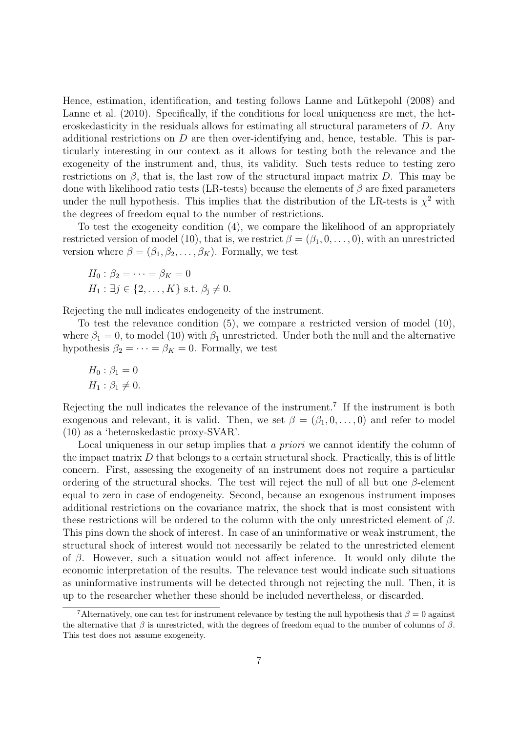Hence, estimation, identification, and testing follows Lanne and Lütkepohl (2008) and Lanne et al. (2010). Specifically, if the conditions for local uniqueness are met, the heteroskedasticity in the residuals allows for estimating all structural parameters of D. Any additional restrictions on  $D$  are then over-identifying and, hence, testable. This is particularly interesting in our context as it allows for testing both the relevance and the exogeneity of the instrument and, thus, its validity. Such tests reduce to testing zero restrictions on  $\beta$ , that is, the last row of the structural impact matrix D. This may be done with likelihood ratio tests (LR-tests) because the elements of  $\beta$  are fixed parameters under the null hypothesis. This implies that the distribution of the LR-tests is  $\chi^2$  with the degrees of freedom equal to the number of restrictions.

To test the exogeneity condition [\(4\)](#page-5-0), we compare the likelihood of an appropriately restricted version of model [\(10\)](#page-5-8), that is, we restrict  $\beta = (\beta_1, 0, \ldots, 0)$ , with an unrestricted version where  $\beta = (\beta_1, \beta_2, \dots, \beta_K)$ . Formally, we test

$$
H_0: \beta_2 = \cdots = \beta_K = 0
$$
  
\n
$$
H_1: \exists j \in \{2, \ldots, K\} \text{ s.t. } \beta_j \neq 0.
$$

Rejecting the null indicates endogeneity of the instrument.

To test the relevance condition [\(5\)](#page-5-1), we compare a restricted version of model [\(10\)](#page-5-8), where  $\beta_1 = 0$ , to model [\(10\)](#page-5-8) with  $\beta_1$  unrestricted. Under both the null and the alternative hypothesis  $\beta_2 = \cdots = \beta_K = 0$ . Formally, we test

$$
H_0: \beta_1 = 0
$$
  

$$
H_1: \beta_1 \neq 0.
$$

Rejecting the null indicates the relevance of the instrument.<sup>[7](#page-7-0)</sup> If the instrument is both exogenous and relevant, it is valid. Then, we set  $\beta = (\beta_1, 0, \ldots, 0)$  and refer to model [\(10\)](#page-5-8) as a 'heteroskedastic proxy-SVAR'.

Local uniqueness in our setup implies that a priori we cannot identify the column of the impact matrix  $D$  that belongs to a certain structural shock. Practically, this is of little concern. First, assessing the exogeneity of an instrument does not require a particular ordering of the structural shocks. The test will reject the null of all but one  $\beta$ -element equal to zero in case of endogeneity. Second, because an exogenous instrument imposes additional restrictions on the covariance matrix, the shock that is most consistent with these restrictions will be ordered to the column with the only unrestricted element of  $\beta$ . This pins down the shock of interest. In case of an uninformative or weak instrument, the structural shock of interest would not necessarily be related to the unrestricted element of  $\beta$ . However, such a situation would not affect inference. It would only dilute the economic interpretation of the results. The relevance test would indicate such situations as uninformative instruments will be detected through not rejecting the null. Then, it is up to the researcher whether these should be included nevertheless, or discarded.

<span id="page-7-0"></span><sup>&</sup>lt;sup>7</sup>Alternatively, one can test for instrument relevance by testing the null hypothesis that  $\beta = 0$  against the alternative that  $\beta$  is unrestricted, with the degrees of freedom equal to the number of columns of  $\beta$ . This test does not assume exogeneity.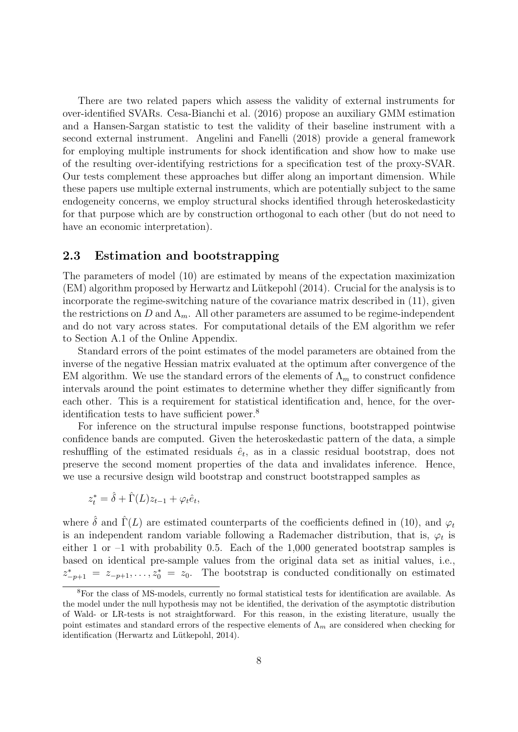There are two related papers which assess the validity of external instruments for over-identified SVARs. Cesa-Bianchi et al. (2016) propose an auxiliary GMM estimation and a Hansen-Sargan statistic to test the validity of their baseline instrument with a second external instrument. Angelini and Fanelli (2018) provide a general framework for employing multiple instruments for shock identification and show how to make use of the resulting over-identifying restrictions for a specification test of the proxy-SVAR. Our tests complement these approaches but differ along an important dimension. While these papers use multiple external instruments, which are potentially subject to the same endogeneity concerns, we employ structural shocks identified through heteroskedasticity for that purpose which are by construction orthogonal to each other (but do not need to have an economic interpretation).

## 2.3 Estimation and bootstrapping

The parameters of model [\(10\)](#page-5-8) are estimated by means of the expectation maximization  $(EM)$  algorithm proposed by Herwartz and Lütkepohl  $(2014)$ . Crucial for the analysis is to incorporate the regime-switching nature of the covariance matrix described in [\(11\)](#page-6-2), given the restrictions on D and  $\Lambda_m$ . All other parameters are assumed to be regime-independent and do not vary across states. For computational details of the EM algorithm we refer to Section A.1 of the Online Appendix.

Standard errors of the point estimates of the model parameters are obtained from the inverse of the negative Hessian matrix evaluated at the optimum after convergence of the EM algorithm. We use the standard errors of the elements of  $\Lambda_m$  to construct confidence intervals around the point estimates to determine whether they differ significantly from each other. This is a requirement for statistical identification and, hence, for the overidentification tests to have sufficient power.[8](#page-8-0)

For inference on the structural impulse response functions, bootstrapped pointwise confidence bands are computed. Given the heteroskedastic pattern of the data, a simple reshuffling of the estimated residuals  $\hat{e}_t$ , as in a classic residual bootstrap, does not preserve the second moment properties of the data and invalidates inference. Hence, we use a recursive design wild bootstrap and construct bootstrapped samples as

$$
z_t^* = \hat{\delta} + \hat{\Gamma}(L)z_{t-1} + \varphi_t \hat{e}_t,
$$

where  $\hat{\delta}$  and  $\hat{\Gamma}(L)$  are estimated counterparts of the coefficients defined in [\(10\)](#page-5-8), and  $\varphi_t$ is an independent random variable following a Rademacher distribution, that is,  $\varphi_t$  is either 1 or  $-1$  with probability 0.5. Each of the 1,000 generated bootstrap samples is based on identical pre-sample values from the original data set as initial values, i.e.,  $z_{-p+1}^* = z_{-p+1}, \ldots, z_0^* = z_0$ . The bootstrap is conducted conditionally on estimated

<span id="page-8-0"></span><sup>8</sup>For the class of MS-models, currently no formal statistical tests for identification are available. As the model under the null hypothesis may not be identified, the derivation of the asymptotic distribution of Wald- or LR-tests is not straightforward. For this reason, in the existing literature, usually the point estimates and standard errors of the respective elements of  $\Lambda_m$  are considered when checking for identification (Herwartz and Lütkepohl, 2014).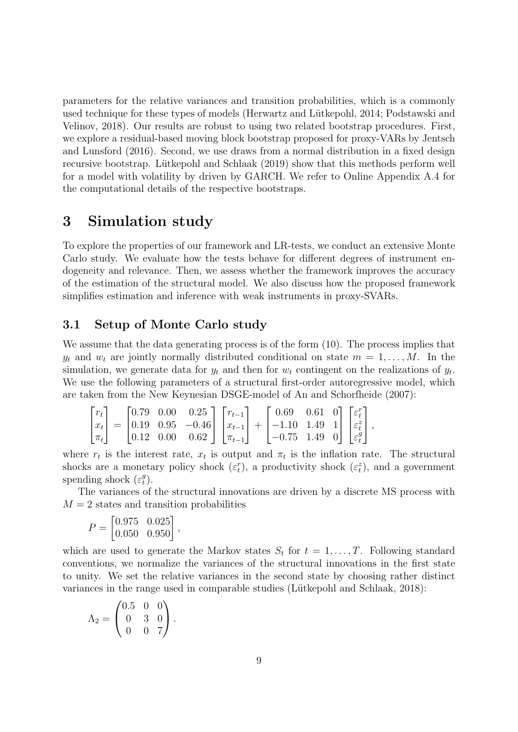parameters for the relative variances and transition probabilities, which is a commonly used technique for these types of models (Herwartz and Lütkepohl, 2014; Podstawski and Velinov, 2018). Our results are robust to using two related bootstrap procedures. First, we explore a residual-based moving block bootstrap proposed for proxy-VARs by Jentsch and Lunsford (2016). Second, we use draws from a normal distribution in a fixed design recursive bootstrap. Lütkepohl and Schlaak (2019) show that this methods perform well for a model with volatility by driven by GARCH. We refer to Online Appendix A.4 for the computational details of the respective bootstraps.

# <span id="page-9-0"></span>3 Simulation study

To explore the properties of our framework and LR-tests, we conduct an extensive Monte Carlo study. We evaluate how the tests behave for different degrees of instrument endogeneity and relevance. Then, we assess whether the framework improves the accuracy of the estimation of the structural model. We also discuss how the proposed framework simplifies estimation and inference with weak instruments in proxy-SVARs.

# 3.1 Setup of Monte Carlo study

We assume that the data generating process is of the form  $(10)$ . The process implies that  $y_t$  and  $w_t$  are jointly normally distributed conditional on state  $m = 1, \ldots, M$ . In the simulation, we generate data for  $y_t$  and then for  $w_t$  contingent on the realizations of  $y_t$ . We use the following parameters of a structural first-order autoregressive model, which are taken from the New Keynesian DSGE-model of An and Schorfheide (2007):

$$
\begin{bmatrix} r_t \\ x_t \\ \pi_t \end{bmatrix} = \begin{bmatrix} 0.79 & 0.00 & 0.25 \\ 0.19 & 0.95 & -0.46 \\ 0.12 & 0.00 & 0.62 \end{bmatrix} \begin{bmatrix} r_{t-1} \\ x_{t-1} \\ \pi_{t-1} \end{bmatrix} + \begin{bmatrix} 0.69 & 0.61 & 0 \\ -1.10 & 1.49 & 1 \\ -0.75 & 1.49 & 0 \end{bmatrix} \begin{bmatrix} \varepsilon_t^r \\ \varepsilon_t^s \\ \varepsilon_t^g \end{bmatrix},
$$

where  $r_t$  is the interest rate,  $x_t$  is output and  $\pi_t$  is the inflation rate. The structural shocks are a monetary policy shock  $(\varepsilon_t^r)$ , a productivity shock  $(\varepsilon_t^z)$ , and a government spending shock  $(\varepsilon_t^g)$  $\binom{g}{t}$ .

The variances of the structural innovations are driven by a discrete MS process with  $M = 2$  states and transition probabilities

$$
P = \begin{bmatrix} 0.975 & 0.025 \\ 0.050 & 0.950 \end{bmatrix}
$$

,

which are used to generate the Markov states  $S_t$  for  $t = 1, \ldots, T$ . Following standard conventions, we normalize the variances of the structural innovations in the first state to unity. We set the relative variances in the second state by choosing rather distinct variances in the range used in comparable studies (Lütkepohl and Schlaak, 2018):

$$
\Lambda_2 = \begin{pmatrix} 0.5 & 0 & 0 \\ 0 & 3 & 0 \\ 0 & 0 & 7 \end{pmatrix}.
$$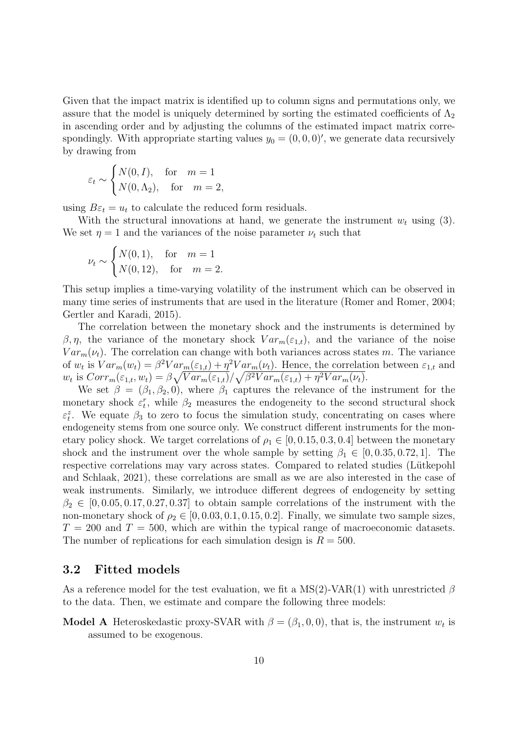Given that the impact matrix is identified up to column signs and permutations only, we assure that the model is uniquely determined by sorting the estimated coefficients of  $\Lambda_2$ in ascending order and by adjusting the columns of the estimated impact matrix correspondingly. With appropriate starting values  $y_0 = (0, 0, 0)'$ , we generate data recursively by drawing from

$$
\varepsilon_t \sim \begin{cases} N(0, I), & \text{for} \quad m = 1\\ N(0, \Lambda_2), & \text{for} \quad m = 2, \end{cases}
$$

using  $B\varepsilon_t = u_t$  to calculate the reduced form residuals.

With the structural innovations at hand, we generate the instrument  $w_t$  using [\(3\)](#page-4-2). We set  $\eta = 1$  and the variances of the noise parameter  $\nu_t$  such that

$$
\nu_t \sim \begin{cases} N(0,1), & \text{for } m=1\\ N(0,12), & \text{for } m=2. \end{cases}
$$

This setup implies a time-varying volatility of the instrument which can be observed in many time series of instruments that are used in the literature (Romer and Romer, 2004; Gertler and Karadi, 2015).

The correlation between the monetary shock and the instruments is determined by β, η, the variance of the monetary shock  $Var_m(\varepsilon_{1,t})$ , and the variance of the noise  $Var_m(\nu_t)$ . The correlation can change with both variances across states m. The variance of  $w_t$  is  $Var_m(w_t) = \beta^2 Var_m(\epsilon_{1,t}) + \eta^2 Var_m(\nu_t)$ . Hence, the correlation between  $\epsilon_{1,t}$  and  $w_t$  is  $Corr_m(\varepsilon_{1,t}, w_t) = \beta \sqrt{Var_m(\varepsilon_{1,t})} / \sqrt{\beta^2 Var_m(\varepsilon_{1,t}) + \eta^2 Var_m(\nu_t)}.$ 

We set  $\beta = (\beta_1, \beta_2, 0)$ , where  $\beta_1$  captures the relevance of the instrument for the monetary shock  $\varepsilon_t^r$ , while  $\beta_2$  measures the endogeneity to the second structural shock  $\varepsilon_t^z$ . We equate  $\beta_3$  to zero to focus the simulation study, concentrating on cases where endogeneity stems from one source only. We construct different instruments for the monetary policy shock. We target correlations of  $\rho_1 \in [0, 0.15, 0.3, 0.4]$  between the monetary shock and the instrument over the whole sample by setting  $\beta_1 \in [0, 0.35, 0.72, 1]$ . The respective correlations may vary across states. Compared to related studies (Lütkepohl and Schlaak, 2021), these correlations are small as we are also interested in the case of weak instruments. Similarly, we introduce different degrees of endogeneity by setting  $\beta_2 \in [0, 0.05, 0.17, 0.27, 0.37]$  to obtain sample correlations of the instrument with the non-monetary shock of  $\rho_2 \in [0, 0.03, 0.1, 0.15, 0.2]$ . Finally, we simulate two sample sizes,  $T = 200$  and  $T = 500$ , which are within the typical range of macroeconomic datasets. The number of replications for each simulation design is  $R = 500$ .

# <span id="page-10-0"></span>3.2 Fitted models

As a reference model for the test evaluation, we fit a MS(2)-VAR(1) with unrestricted  $\beta$ to the data. Then, we estimate and compare the following three models:

**Model A** Heteroskedastic proxy-SVAR with  $\beta = (\beta_1, 0, 0)$ , that is, the instrument  $w_t$  is assumed to be exogenous.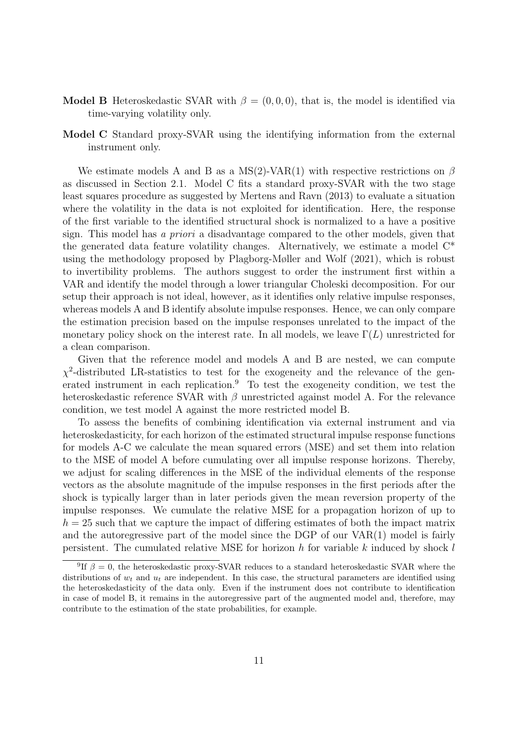- **Model B** Heteroskedastic SVAR with  $\beta = (0, 0, 0)$ , that is, the model is identified via time-varying volatility only.
- Model C Standard proxy-SVAR using the identifying information from the external instrument only.

We estimate models A and B as a MS(2)-VAR(1) with respective restrictions on  $\beta$ as discussed in Section [2.1.](#page-4-3) Model C fits a standard proxy-SVAR with the two stage least squares procedure as suggested by Mertens and Ravn (2013) to evaluate a situation where the volatility in the data is not exploited for identification. Here, the response of the first variable to the identified structural shock is normalized to a have a positive sign. This model has a priori a disadvantage compared to the other models, given that the generated data feature volatility changes. Alternatively, we estimate a model  $C^*$ using the methodology proposed by Plagborg-Møller and Wolf (2021), which is robust to invertibility problems. The authors suggest to order the instrument first within a VAR and identify the model through a lower triangular Choleski decomposition. For our setup their approach is not ideal, however, as it identifies only relative impulse responses, whereas models A and B identify absolute impulse responses. Hence, we can only compare the estimation precision based on the impulse responses unrelated to the impact of the monetary policy shock on the interest rate. In all models, we leave  $\Gamma(L)$  unrestricted for a clean comparison.

Given that the reference model and models A and B are nested, we can compute  $\chi^2$ -distributed LR-statistics to test for the exogeneity and the relevance of the gen-erated instrument in each replication.<sup>[9](#page-11-0)</sup> To test the exogeneity condition, we test the heteroskedastic reference SVAR with  $\beta$  unrestricted against model A. For the relevance condition, we test model A against the more restricted model B.

To assess the benefits of combining identification via external instrument and via heteroskedasticity, for each horizon of the estimated structural impulse response functions for models A-C we calculate the mean squared errors (MSE) and set them into relation to the MSE of model A before cumulating over all impulse response horizons. Thereby, we adjust for scaling differences in the MSE of the individual elements of the response vectors as the absolute magnitude of the impulse responses in the first periods after the shock is typically larger than in later periods given the mean reversion property of the impulse responses. We cumulate the relative MSE for a propagation horizon of up to  $h = 25$  such that we capture the impact of differing estimates of both the impact matrix and the autoregressive part of the model since the DGP of our VAR(1) model is fairly persistent. The cumulated relative MSE for horizon h for variable k induced by shock  $l$ 

<span id="page-11-0"></span><sup>&</sup>lt;sup>9</sup>If  $\beta = 0$ , the heteroskedastic proxy-SVAR reduces to a standard heteroskedastic SVAR where the distributions of  $w_t$  and  $u_t$  are independent. In this case, the structural parameters are identified using the heteroskedasticity of the data only. Even if the instrument does not contribute to identification in case of model B, it remains in the autoregressive part of the augmented model and, therefore, may contribute to the estimation of the state probabilities, for example.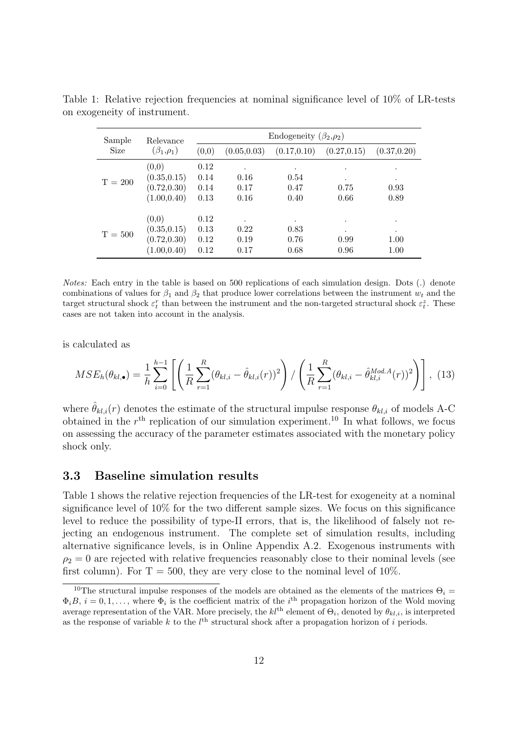| Sample    | Relevance                    |              |              | Endogeneity $(\beta_2,\rho_2)$ |              |              |
|-----------|------------------------------|--------------|--------------|--------------------------------|--------------|--------------|
| Size      | $(\beta_1,\rho_1)$           | (0,0)        | (0.05, 0.03) | (0.17, 0.10)                   | (0.27, 0.15) | (0.37, 0.20) |
|           | (0,0)                        | 0.12         | $\bullet$    | ٠                              | $\bullet$    | ٠            |
| $T = 200$ | (0.35, 0.15)<br>(0.72, 0.30) | 0.14<br>0.14 | 0.16<br>0.17 | 0.54<br>0.47                   | ٠<br>0.75    | ٠<br>0.93    |
|           | (1.00, 0.40)                 | 0.13         | 0.16         | 0.40                           | 0.66         | 0.89         |
|           | (0,0)                        | 0.12         | ٠            | $\bullet$                      | ٠            | $\bullet$    |
| $T = 500$ | (0.35, 0.15)                 | 0.13         | 0.22         | 0.83                           | ٠            | $\bullet$    |
|           | (0.72, 0.30)                 | 0.12         | 0.19         | 0.76                           | 0.99         | 1.00         |
|           | (1.00, 0.40)                 | 0.12         | 0.17         | 0.68                           | 0.96         | 1.00         |

<span id="page-12-1"></span>Table 1: Relative rejection frequencies at nominal significance level of 10% of LR-tests on exogeneity of instrument.

Notes: Each entry in the table is based on 500 replications of each simulation design. Dots (.) denote combinations of values for  $\beta_1$  and  $\beta_2$  that produce lower correlations between the instrument  $w_t$  and the target structural shock  $\varepsilon_t^r$  than between the instrument and the non-targeted structural shock  $\varepsilon_t^z$ . These cases are not taken into account in the analysis.

is calculated as

$$
MSE_h(\theta_{kl,\bullet}) = \frac{1}{h} \sum_{i=0}^{h-1} \left[ \left( \frac{1}{R} \sum_{r=1}^{R} (\theta_{kl,i} - \hat{\theta}_{kl,i}(r))^2 \right) / \left( \frac{1}{R} \sum_{r=1}^{R} (\theta_{kl,i} - \hat{\theta}_{kl,i}^{Mod.A}(r))^2 \right) \right], \tag{13}
$$

where  $\hat{\theta}_{kl,i}(r)$  denotes the estimate of the structural impulse response  $\theta_{kl,i}$  of models A-C obtained in the  $r<sup>th</sup>$  replication of our simulation experiment.<sup>[10](#page-12-0)</sup> In what follows, we focus on assessing the accuracy of the parameter estimates associated with the monetary policy shock only.

#### <span id="page-12-2"></span>3.3 Baseline simulation results

Table [1](#page-12-1) shows the relative rejection frequencies of the LR-test for exogeneity at a nominal significance level of 10% for the two different sample sizes. We focus on this significance level to reduce the possibility of type-II errors, that is, the likelihood of falsely not rejecting an endogenous instrument. The complete set of simulation results, including alternative significance levels, is in Online Appendix A.2. Exogenous instruments with  $\rho_2 = 0$  are rejected with relative frequencies reasonably close to their nominal levels (see first column). For  $T = 500$ , they are very close to the nominal level of 10%.

<span id="page-12-0"></span><sup>&</sup>lt;sup>10</sup>The structural impulse responses of the models are obtained as the elements of the matrices  $\Theta_i =$  $\Phi_i B, i = 0, 1, \ldots$ , where  $\Phi_i$  is the coefficient matrix of the *i*<sup>th</sup> propagation horizon of the Wold moving average representation of the VAR. More precisely, the  $kl^{\text{th}}$  element of  $\Theta_i$ , denoted by  $\theta_{kl,i}$ , is interpreted as the response of variable  $k$  to the  $l<sup>th</sup>$  structural shock after a propagation horizon of i periods.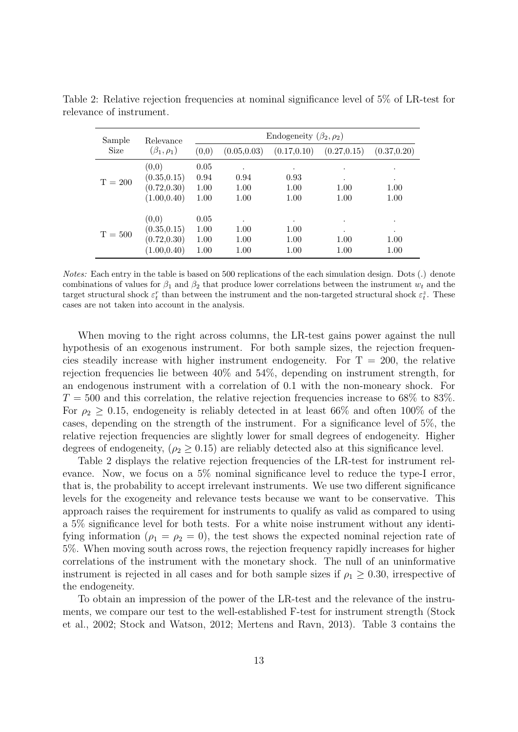| Sample    | Relevance                                             |                              |                                   | Endogeneity $(\beta_2, \rho_2)$   |                                        |                        |
|-----------|-------------------------------------------------------|------------------------------|-----------------------------------|-----------------------------------|----------------------------------------|------------------------|
| Size      | $(\beta_1,\rho_1)$                                    | (0,0)                        | (0.05, 0.03)                      | (0.17, 0.10)                      | (0.27, 0.15)                           | (0.37, 0.20)           |
| $T = 200$ | (0,0)<br>(0.35, 0.15)<br>(0.72, 0.30)<br>(1.00, 0.40) | 0.05<br>0.94<br>1.00<br>1.00 | $\bullet$<br>0.94<br>1.00<br>1.00 | 0.93<br>1.00<br>1.00              | $\bullet$<br>$\bullet$<br>1.00<br>1.00 | ٠<br>٠<br>1.00<br>1.00 |
| $T = 500$ | (0,0)<br>(0.35, 0.15)<br>(0.72, 0.30)<br>(1.00, 0.40) | 0.05<br>1.00<br>1.00<br>1.00 | $\bullet$<br>1.00<br>1.00<br>1.00 | $\bullet$<br>1.00<br>1.00<br>1.00 | $\bullet$<br>٠<br>1.00<br>1.00         | ٠<br>٠<br>1.00<br>1.00 |

<span id="page-13-0"></span>Table 2: Relative rejection frequencies at nominal significance level of 5% of LR-test for relevance of instrument.

Notes: Each entry in the table is based on 500 replications of the each simulation design. Dots (.) denote combinations of values for  $\beta_1$  and  $\beta_2$  that produce lower correlations between the instrument  $w_t$  and the target structural shock  $\varepsilon_t^r$  than between the instrument and the non-targeted structural shock  $\varepsilon_t^z$ . These cases are not taken into account in the analysis.

When moving to the right across columns, the LR-test gains power against the null hypothesis of an exogenous instrument. For both sample sizes, the rejection frequencies steadily increase with higher instrument endogeneity. For  $T = 200$ , the relative rejection frequencies lie between 40% and 54%, depending on instrument strength, for an endogenous instrument with a correlation of 0.1 with the non-moneary shock. For  $T = 500$  and this correlation, the relative rejection frequencies increase to 68% to 83%. For  $\rho_2 \geq 0.15$ , endogeneity is reliably detected in at least 66% and often 100% of the cases, depending on the strength of the instrument. For a significance level of 5%, the relative rejection frequencies are slightly lower for small degrees of endogeneity. Higher degrees of endogeneity, ( $\rho_2 \geq 0.15$ ) are reliably detected also at this significance level.

Table [2](#page-13-0) displays the relative rejection frequencies of the LR-test for instrument relevance. Now, we focus on a 5% nominal significance level to reduce the type-I error, that is, the probability to accept irrelevant instruments. We use two different significance levels for the exogeneity and relevance tests because we want to be conservative. This approach raises the requirement for instruments to qualify as valid as compared to using a 5% significance level for both tests. For a white noise instrument without any identifying information ( $\rho_1 = \rho_2 = 0$ ), the test shows the expected nominal rejection rate of 5%. When moving south across rows, the rejection frequency rapidly increases for higher correlations of the instrument with the monetary shock. The null of an uninformative instrument is rejected in all cases and for both sample sizes if  $\rho_1 \geq 0.30$ , irrespective of the endogeneity.

To obtain an impression of the power of the LR-test and the relevance of the instruments, we compare our test to the well-established F-test for instrument strength (Stock et al., 2002; Stock and Watson, 2012; Mertens and Ravn, 2013). Table [3](#page-14-0) contains the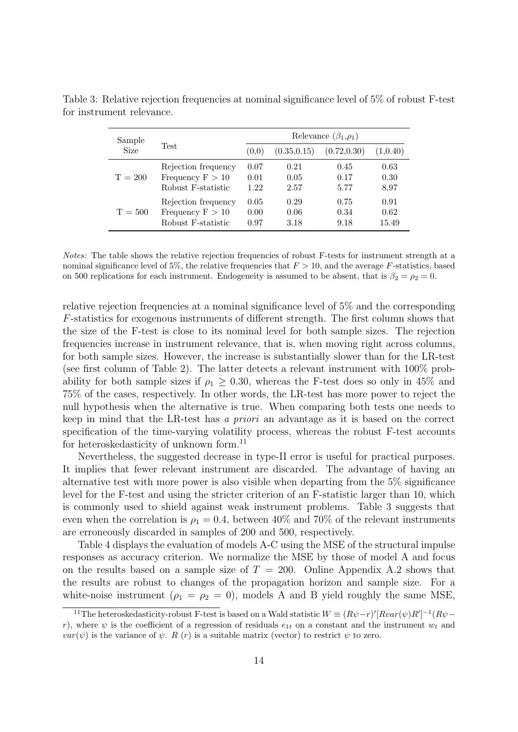| Sample      |                     |       |              | Relevance $(\beta_1,\rho_1)$ |          |
|-------------|---------------------|-------|--------------|------------------------------|----------|
| <b>Size</b> | <b>Test</b>         | (0.0) | (0.35, 0.15) | (0.72, 0.30)                 | (1,0.40) |
| $T = 200$   | Rejection frequency | 0.07  | 0.21         | 0.45                         | 0.63     |
|             | Frequency $F > 10$  | 0.01  | 0.05         | 0.17                         | 0.30     |
|             | Robust F-statistic  | 1.22  | 2.57         | 5.77                         | 8.97     |
| $T = 500$   | Rejection frequency | 0.05  | 0.29         | 0.75                         | 0.91     |
|             | Frequency $F > 10$  | 0.00  | 0.06         | 0.34                         | 0.62     |
|             | Robust F-statistic  | 0.97  | 3.18         | 9.18                         | 15.49    |

<span id="page-14-0"></span>Table 3: Relative rejection frequencies at nominal significance level of 5% of robust F-test for instrument relevance.

Notes: The table shows the relative rejection frequencies of robust F-tests for instrument strength at a nominal significance level of 5%, the relative frequencies that  $F > 10$ , and the average F-statistics, based on 500 replications for each instrument. Endogeneity is assumed to be absent, that is  $\beta_2 = \rho_2 = 0$ .

relative rejection frequencies at a nominal significance level of 5% and the corresponding F-statistics for exogenous instruments of different strength. The first column shows that the size of the F-test is close to its nominal level for both sample sizes. The rejection frequencies increase in instrument relevance, that is, when moving right across columns, for both sample sizes. However, the increase is substantially slower than for the LR-test (see first column of Table [2\)](#page-13-0). The latter detects a relevant instrument with 100% probability for both sample sizes if  $\rho_1 \geq 0.30$ , whereas the F-test does so only in 45% and 75% of the cases, respectively. In other words, the LR-test has more power to reject the null hypothesis when the alternative is true. When comparing both tests one needs to keep in mind that the LR-test has a priori an advantage as it is based on the correct specification of the time-varying volatility process, whereas the robust F-test accounts for heteroskedasticity of unknown form.<sup>[11](#page-14-1)</sup>

Nevertheless, the suggested decrease in type-II error is useful for practical purposes. It implies that fewer relevant instrument are discarded. The advantage of having an alternative test with more power is also visible when departing from the 5% significance level for the F-test and using the stricter criterion of an F-statistic larger than 10, which is commonly used to shield against weak instrument problems. Table [3](#page-14-0) suggests that even when the correlation is  $\rho_1 = 0.4$ , between 40% and 70% of the relevant instruments are erroneously discarded in samples of 200 and 500, respectively.

Table [4](#page-15-0) displays the evaluation of models A-C using the MSE of the structural impulse responses as accuracy criterion. We normalize the MSE by those of model A and focus on the results based on a sample size of  $T = 200$ . Online Appendix A.2 shows that the results are robust to changes of the propagation horizon and sample size. For a white-noise instrument ( $\rho_1 = \rho_2 = 0$ ), models A and B yield roughly the same MSE,

<span id="page-14-1"></span><sup>&</sup>lt;sup>11</sup>The heteroskedasticity-robust F-test is based on a Wald statistic  $W \equiv (R\psi - r)'[Rvar(\psi)R']^{-1}(R\psi$ r), where  $\psi$  is the coefficient of a regression of residuals  $e_{1t}$  on a constant and the instrument  $w_t$  and  $var(\psi)$  is the variance of  $\psi$ . R (r) is a suitable matrix (vector) to restrict  $\psi$  to zero.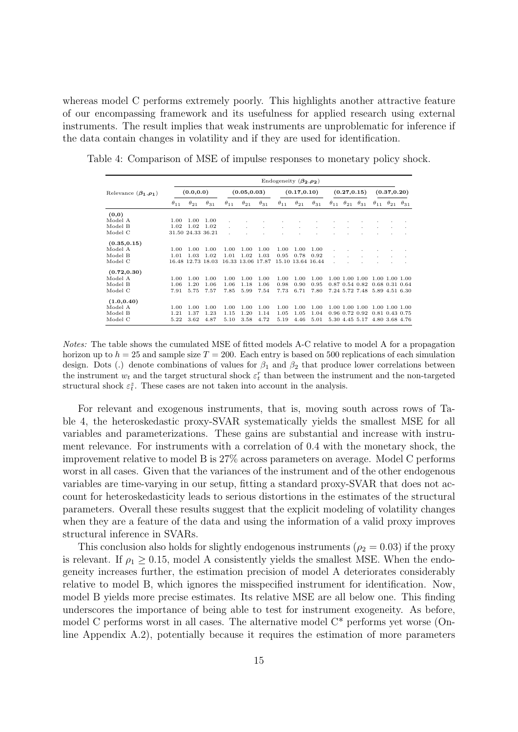whereas model C performs extremely poorly. This highlights another attractive feature of our encompassing framework and its usefulness for applied research using external instruments. The result implies that weak instruments are unproblematic for inference if the data contain changes in volatility and if they are used for identification.

|                               |               |                   |                   |               |                   |               | Endogeneity $(\beta_2, \rho_2)$ |                   |               |               |              |                             |                             |               |
|-------------------------------|---------------|-------------------|-------------------|---------------|-------------------|---------------|---------------------------------|-------------------|---------------|---------------|--------------|-----------------------------|-----------------------------|---------------|
| Relevance $(\beta_1, \rho_1)$ |               | (0.0, 0.0)        |                   |               | (0.05, 0.03)      |               |                                 | (0.17, 0.10)      |               |               | (0.27, 0.15) |                             | (0.37, 0.20)                |               |
|                               | $\theta_{11}$ | $\theta_{21}$     | $\theta_{31}$     | $\theta_{11}$ | $\theta_{21}$     | $\theta_{31}$ | $\theta_{11}$                   | $\theta_{21}$     | $\theta_{31}$ | $\theta_{11}$ |              | $\theta_{21}$ $\theta_{31}$ | $\theta_{11}$ $\theta_{21}$ | $\theta_{31}$ |
| (0,0)                         |               |                   |                   |               |                   |               |                                 |                   |               |               |              |                             |                             |               |
| Model A                       | 1.00          | 1.00              | 1.00              |               |                   |               |                                 |                   |               |               |              |                             |                             |               |
| Model B                       | 1.02          | 1.02              | 1.02              |               |                   |               |                                 |                   |               |               |              |                             |                             |               |
| Model C                       |               | 31.50 24.33 36.21 |                   |               |                   |               |                                 |                   |               |               |              |                             |                             |               |
| (0.35, 0.15)                  |               |                   |                   |               |                   |               |                                 |                   |               |               |              |                             |                             |               |
| Model A                       | 1.00          | 1.00              | 1.00              | 1.00          | 1.00              | 1.00          | 1.00                            | 1.00              | 1.00          |               |              |                             |                             |               |
| Model B                       | 1.01          | 1.03              | 1.02              | 1.01          | 1.02              | 1.03          | 0.95                            | 0.78              | 0.92          |               |              |                             |                             |               |
| Model C                       |               |                   | 16.48 12.73 18.03 |               | 16.33 13.06 17.87 |               |                                 | 15.10 13.64 16.44 |               |               |              |                             |                             |               |
| (0.72, 0.30)                  |               |                   |                   |               |                   |               |                                 |                   |               |               |              |                             |                             |               |
| Model A                       | 1.00          | 1.00              | 1.00              | 1.00          | 1.00              | 1.00          | 1.00                            | 1.00              | 1.00          |               |              | 1.00 1.00 1.00              | 1.00 1.00 1.00              |               |
| Model B                       | 1.06          | 1.20              | 1.06              | 1.06          | 1.18              | 1.06          | 0.98                            | 0.90              | 0.95          |               |              | 0.87 0.54 0.82              | $0.68$ $0.31$ $0.64$        |               |
| Model C                       | 7.91          | 5.75              | 7.57              | 7.85          | 5.99              | 7.54          | 7.73                            | 6.71              | 7.80          |               |              | 7.24 5.72 7.48              | 5.89 4.51 6.30              |               |
| (1.0, 0.40)                   |               |                   |                   |               |                   |               |                                 |                   |               |               |              |                             |                             |               |
| Model A                       | 1.00          | 1.00              | 1.00              | 1.00          | 1.00              | 1.00          | 1.00                            | 1.00              | 1.00          |               |              | 1.00 1.00 1.00              | 1.00 1.00 1.00              |               |
| Model B                       | 1.21          | 1.37              | 1.23              | 1.15          | 1.20              | 1.14          | 1.05                            | 1.05              | 1.04          |               |              | 0.96 0.72 0.92              | 0.81 0.43 0.75              |               |
| Model C                       | 5.22          | 3.62              | 4.87              | 5.10          | 3.58              | 4.72          | 5.19                            | 4.46              | 5.01          | 5.30          |              | 4.45 5.17                   | 4.80 3.68 4.76              |               |

<span id="page-15-0"></span>Table 4: Comparison of MSE of impulse responses to monetary policy shock.

Notes: The table shows the cumulated MSE of fitted models A-C relative to model A for a propagation horizon up to  $h = 25$  and sample size  $T = 200$ . Each entry is based on 500 replications of each simulation design. Dots (.) denote combinations of values for  $\beta_1$  and  $\beta_2$  that produce lower correlations between the instrument  $w_t$  and the target structural shock  $\varepsilon_t^r$  than between the instrument and the non-targeted structural shock  $\varepsilon_t^z$ . These cases are not taken into account in the analysis.

For relevant and exogenous instruments, that is, moving south across rows of [Ta](#page-15-0)[ble 4,](#page-15-0) the heteroskedastic proxy-SVAR systematically yields the smallest MSE for all variables and parameterizations. These gains are substantial and increase with instrument relevance. For instruments with a correlation of 0.4 with the monetary shock, the improvement relative to model B is 27% across parameters on average. Model C performs worst in all cases. Given that the variances of the instrument and of the other endogenous variables are time-varying in our setup, fitting a standard proxy-SVAR that does not account for heteroskedasticity leads to serious distortions in the estimates of the structural parameters. Overall these results suggest that the explicit modeling of volatility changes when they are a feature of the data and using the information of a valid proxy improves structural inference in SVARs.

This conclusion also holds for slightly endogenous instruments ( $\rho_2 = 0.03$ ) if the proxy is relevant. If  $\rho_1 \geq 0.15$ , model A consistently yields the smallest MSE. When the endogeneity increases further, the estimation precision of model A deteriorates considerably relative to model B, which ignores the misspecified instrument for identification. Now, model B yields more precise estimates. Its relative MSE are all below one. This finding underscores the importance of being able to test for instrument exogeneity. As before, model C performs worst in all cases. The alternative model C\* performs yet worse (Online Appendix A.2), potentially because it requires the estimation of more parameters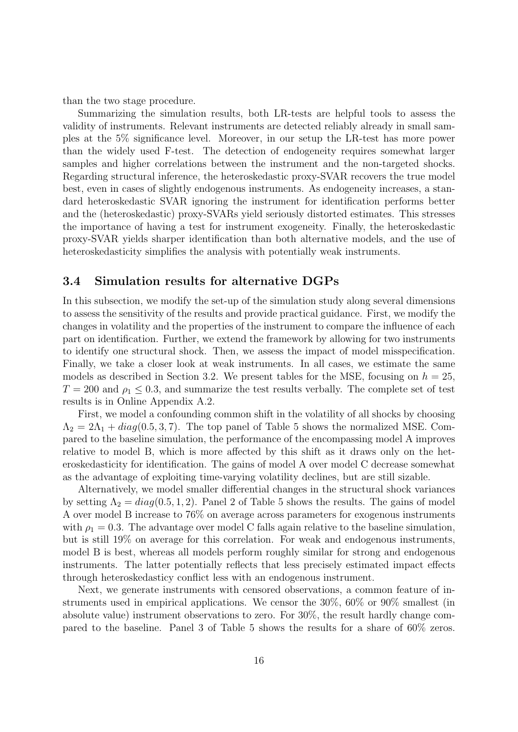than the two stage procedure.

Summarizing the simulation results, both LR-tests are helpful tools to assess the validity of instruments. Relevant instruments are detected reliably already in small samples at the 5% significance level. Moreover, in our setup the LR-test has more power than the widely used F-test. The detection of endogeneity requires somewhat larger samples and higher correlations between the instrument and the non-targeted shocks. Regarding structural inference, the heteroskedastic proxy-SVAR recovers the true model best, even in cases of slightly endogenous instruments. As endogeneity increases, a standard heteroskedastic SVAR ignoring the instrument for identification performs better and the (heteroskedastic) proxy-SVARs yield seriously distorted estimates. This stresses the importance of having a test for instrument exogeneity. Finally, the heteroskedastic proxy-SVAR yields sharper identification than both alternative models, and the use of heteroskedasticity simplifies the analysis with potentially weak instruments.

# 3.4 Simulation results for alternative DGPs

In this subsection, we modify the set-up of the simulation study along several dimensions to assess the sensitivity of the results and provide practical guidance. First, we modify the changes in volatility and the properties of the instrument to compare the influence of each part on identification. Further, we extend the framework by allowing for two instruments to identify one structural shock. Then, we assess the impact of model misspecification. Finally, we take a closer look at weak instruments. In all cases, we estimate the same models as described in Section [3.2.](#page-10-0) We present tables for the MSE, focusing on  $h = 25$ ,  $T = 200$  and  $\rho_1 \leq 0.3$ , and summarize the test results verbally. The complete set of test results is in Online Appendix A.2.

First, we model a confounding common shift in the volatility of all shocks by choosing  $\Lambda_2 = 2\Lambda_1 + diag(0.5, 3, 7)$ . The top panel of Table [5](#page-17-0) shows the normalized MSE. Compared to the baseline simulation, the performance of the encompassing model A improves relative to model B, which is more affected by this shift as it draws only on the heteroskedasticity for identification. The gains of model A over model C decrease somewhat as the advantage of exploiting time-varying volatility declines, but are still sizable.

Alternatively, we model smaller differential changes in the structural shock variances by setting  $\Lambda_2 = diag(0.5, 1, 2)$ . Panel 2 of [Table 5](#page-17-0) shows the results. The gains of model A over model B increase to 76% on average across parameters for exogenous instruments with  $\rho_1 = 0.3$ . The advantage over model C falls again relative to the baseline simulation, but is still 19% on average for this correlation. For weak and endogenous instruments, model B is best, whereas all models perform roughly similar for strong and endogenous instruments. The latter potentially reflects that less precisely estimated impact effects through heteroskedasticy conflict less with an endogenous instrument.

Next, we generate instruments with censored observations, a common feature of instruments used in empirical applications. We censor the 30%, 60% or 90% smallest (in absolute value) instrument observations to zero. For 30%, the result hardly change compared to the baseline. Panel 3 of [Table 5](#page-17-0) shows the results for a share of 60% zeros.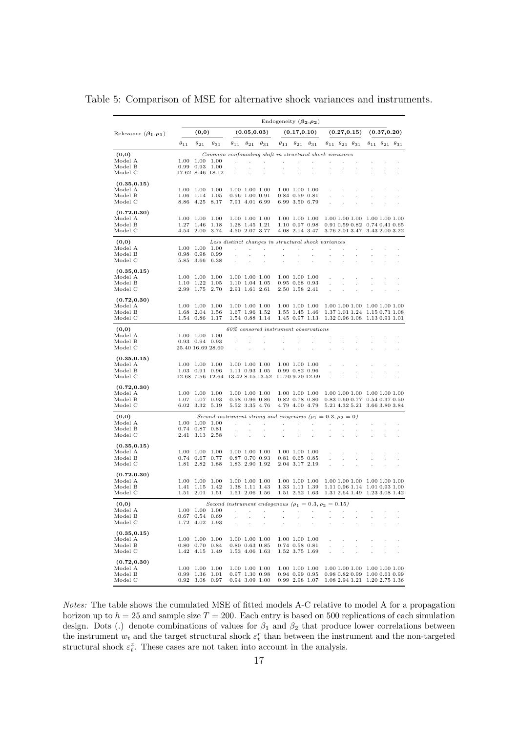|                               |               |                                          |               |                                                                            |                                    |                                                        | Endogeneity $(\beta_2, \rho_2)$      |                                        |                                                 |                               |                                           |               |                                                                |                                           |                               |
|-------------------------------|---------------|------------------------------------------|---------------|----------------------------------------------------------------------------|------------------------------------|--------------------------------------------------------|--------------------------------------|----------------------------------------|-------------------------------------------------|-------------------------------|-------------------------------------------|---------------|----------------------------------------------------------------|-------------------------------------------|-------------------------------|
| Relevance $(\beta_1, \rho_1)$ |               | (0,0)                                    |               |                                                                            | (0.05, 0.03)                       |                                                        |                                      | (0.17, 0.10)                           |                                                 |                               |                                           | (0.27, 0.15)  |                                                                | (0.37, 0.20)                              |                               |
|                               | $\theta_{11}$ | $\theta_{21}$                            | $\theta_{31}$ | $\theta_{11}$                                                              | $\theta_{21}$                      | $\theta_{31}$                                          | $\theta_{11}$                        | $\theta_{21}$                          | $\theta_{31}$                                   |                               | $\theta_{11}$ $\theta_{21}$ $\theta_{31}$ |               |                                                                | $\theta_{11}$ $\theta_{21}$ $\theta_{31}$ |                               |
| (0,0)                         |               |                                          |               | Common confounding shift in structural shock variances                     |                                    |                                                        |                                      |                                        |                                                 |                               |                                           |               |                                                                |                                           |                               |
| Model A                       |               | 1.00 1.00 1.00                           |               | ÷                                                                          | ÷                                  | $\mathcal{L}$                                          | ×,                                   | ÷.                                     | $\cdot$                                         | ä,                            | J.                                        | $\cdot$       |                                                                |                                           |                               |
| Model B<br>Model C            |               | $0.99$ $0.93$ $1.00$<br>17.62 8.46 18.12 |               | ä,                                                                         | ÷,<br>÷,                           | ÷,<br>÷                                                | ÷,<br>÷,                             | ÷.<br>÷.                               | l,                                              |                               |                                           |               |                                                                |                                           |                               |
|                               |               |                                          |               |                                                                            |                                    |                                                        |                                      |                                        |                                                 |                               |                                           |               |                                                                |                                           |                               |
| (0.35, 0.15)                  |               |                                          |               |                                                                            |                                    |                                                        |                                      |                                        |                                                 |                               |                                           |               |                                                                |                                           |                               |
| Model A<br>Model B            | 1.00<br>1.06  | 1.00<br>1.14                             | 1.00<br>1.05  |                                                                            | 1.00 1.00 1.00<br>$0.96$ 1.00 0.91 |                                                        |                                      | 1.00 1.00 1.00<br>$0.84$ $0.59$ $0.81$ |                                                 | l,                            |                                           | ÷.            |                                                                |                                           |                               |
| Model C                       |               | 8.86 4.25                                | 8.17          |                                                                            | 7.91 4.01 6.99                     |                                                        |                                      | 6.99 3.50 6.79                         |                                                 |                               |                                           |               |                                                                |                                           |                               |
| (0.72, 0.30)                  |               |                                          |               |                                                                            |                                    |                                                        |                                      |                                        |                                                 |                               |                                           |               |                                                                |                                           |                               |
| Model A                       | 1.00          | 1.00                                     | 1.00          |                                                                            | 1.00 1.00 1.00                     |                                                        |                                      | 1.00 1.00 1.00                         |                                                 |                               |                                           |               | 1.00 1.00 1.00 1.00 1.00 1.00                                  |                                           |                               |
| Model B                       | 1.27          | 1.46                                     | 1.18          |                                                                            | 1.28 1.45 1.21                     |                                                        |                                      | 1.10 0.97 0.98                         |                                                 |                               |                                           |               | $0.91$ $0.59$ $0.82$ $0.74$ $0.41$ $0.65$                      |                                           |                               |
| Model C                       |               | 4.54 2.00                                | 3.74          |                                                                            | 4.50 2.07 3.77                     |                                                        |                                      | 4.08 2.14 3.47                         |                                                 |                               |                                           |               | 3.76 2.01 3.47 3.43 2.00 3.22                                  |                                           |                               |
| (0,0)                         |               |                                          |               | Less distinct changes in structural shock variances                        |                                    |                                                        |                                      |                                        |                                                 |                               |                                           |               |                                                                |                                           |                               |
| Model A<br>Model B            | 1.00<br>0.98  | 1.00<br>0.98                             | 1.00<br>0.99  | $\overline{a}$<br>÷.                                                       | ÷<br>÷,                            | $\mathbb{Z}^2$                                         | ÷<br>÷.                              | ÷.<br>÷.                               | J.<br>÷,                                        | ł.                            | J.<br>$\cdot$                             | ÷,            | ÷,                                                             |                                           |                               |
| Model C                       | 5.85          | 3.66                                     | 6.38          |                                                                            | ÷,                                 |                                                        |                                      |                                        |                                                 | ä,                            |                                           |               |                                                                | ä,                                        |                               |
|                               |               |                                          |               |                                                                            |                                    |                                                        |                                      |                                        |                                                 |                               |                                           |               |                                                                |                                           |                               |
| (0.35, 0.15)<br>Model A       | $1.00\,$      | 1.00                                     | 1.00          |                                                                            | 1.00 1.00 1.00                     |                                                        |                                      | 1.00 1.00 1.00                         |                                                 |                               |                                           |               |                                                                |                                           |                               |
| Model B                       | 1.10          | 1.22                                     | 1.05          |                                                                            | 1.10 1.04 1.05                     |                                                        |                                      | $0.95$ 0.68 0.93                       |                                                 |                               |                                           |               |                                                                |                                           |                               |
| Model C                       | 2.99          | 1.75                                     | 2.70          |                                                                            | 2.91 1.61 2.61                     |                                                        |                                      | 2.50 1.58 2.41                         |                                                 |                               |                                           |               |                                                                |                                           |                               |
| (0.72, 0.30)                  |               |                                          |               |                                                                            |                                    |                                                        |                                      |                                        |                                                 |                               |                                           |               |                                                                |                                           |                               |
| Model A                       | 1.00          | 1.00                                     | 1.00          |                                                                            | 1.00 1.00 1.00                     |                                                        |                                      | 1.00 1.00 1.00                         |                                                 |                               |                                           |               | 1.00 1.00 1.00 1.00 1.00 1.00                                  |                                           |                               |
| Model B<br>Model C            | 1.68          | 2.04<br>1.54 0.86                        | 1.56<br>1.17  |                                                                            | 1.67 1.96 1.52<br>1.54 0.88 1.14   |                                                        |                                      | 1.55 1.45 1.46<br>1.45 0.97 1.13       |                                                 |                               |                                           |               | 1.37 1.01 1.24 1.15 0.71 1.08<br>1.32 0.96 1.08 1.13 0.91 1.01 |                                           |                               |
|                               |               |                                          |               |                                                                            |                                    |                                                        |                                      |                                        |                                                 |                               |                                           |               |                                                                |                                           |                               |
| (0,0)<br>Model A              |               | 1.00 1.00 1.00                           |               |                                                                            |                                    | 60% censored instrument observations<br>$\overline{a}$ | ÷.                                   |                                        |                                                 |                               |                                           |               |                                                                |                                           |                               |
| Model B                       |               | $0.93$ $0.94$ $0.93$                     |               | ÷.                                                                         |                                    |                                                        | ÷.                                   | ä,<br>×.                               | ÷,                                              |                               |                                           |               |                                                                |                                           |                               |
| Model C                       |               | 25.40 16.69 28.60                        |               | ä,                                                                         |                                    |                                                        | $\cdot$                              |                                        |                                                 |                               |                                           |               |                                                                |                                           |                               |
| (0.35, 0.15)                  |               |                                          |               |                                                                            |                                    |                                                        |                                      |                                        |                                                 |                               |                                           |               |                                                                |                                           |                               |
| Model A                       |               | 1.00 1.00 1.00                           |               |                                                                            | 1.00 1.00 1.00                     |                                                        |                                      | 1.00 1.00 1.00                         |                                                 |                               |                                           |               |                                                                |                                           |                               |
| Model B                       | $1.03\,$      | 0.91                                     | 0.96          |                                                                            | 1.11 0.93 1.05                     |                                                        |                                      | $0.99$ $0.82$ $0.96$                   |                                                 |                               |                                           |               |                                                                |                                           |                               |
| Model C                       |               | 12.68 7.56 12.64                         |               |                                                                            |                                    | $13.42\ 8.15\ 13.52$                                   |                                      |                                        | 11.70 9.20 12.69                                |                               |                                           |               |                                                                |                                           |                               |
| (0.72, 0.30)                  |               |                                          |               |                                                                            |                                    |                                                        |                                      |                                        |                                                 |                               |                                           |               |                                                                |                                           |                               |
| Model A<br>Model B            | 1.00<br>1.07  | 1.00<br>1.07                             | 1.00<br>0.93  |                                                                            | 1.00 1.00 1.00<br>$0.98$ 0.96 0.86 |                                                        |                                      | 1.00 1.00 1.00<br>$0.82$ 0.78 $0.80$   |                                                 |                               |                                           |               | 1.00 1.00 1.00 1.00 1.00 1.00<br>0.83 0.60 0.77 0.54 0.37 0.50 |                                           |                               |
| Model C                       | 6.02          | 3.32                                     | 5.19          |                                                                            | 5.52 3.35 4.76                     |                                                        |                                      | 4.79 4.00 4.79                         |                                                 |                               |                                           |               | 5.21 4.32 5.21 3.66 3.80 3.84                                  |                                           |                               |
| (0,0)                         |               |                                          |               |                                                                            |                                    |                                                        |                                      |                                        |                                                 |                               |                                           |               |                                                                |                                           |                               |
| Model A                       | 1.00          | 1.00                                     | 1.00          | Second instrument strong and exogenous ( $\rho_1 = 0.3, \rho_2 = 0$ )<br>÷ | $\mathbf{r}$                       | $\sim$                                                 | $\sim$                               | $\mathcal{L}$                          | $\sim 10^{-1}$                                  | $\sim$                        | $\mathbf{r}$                              |               |                                                                |                                           |                               |
| Model B                       | 0.74          | 0.87                                     | 0.81          |                                                                            |                                    |                                                        | ÷.                                   | ÷.                                     | ÷,                                              |                               |                                           |               |                                                                |                                           |                               |
| Model C                       | 2.41          | 3.13                                     | 2.58          |                                                                            |                                    |                                                        |                                      |                                        |                                                 |                               |                                           |               |                                                                |                                           |                               |
| (0.35, 0.15)                  |               |                                          |               |                                                                            |                                    |                                                        |                                      |                                        |                                                 |                               |                                           |               |                                                                |                                           |                               |
| Model A<br>Model B            | 0.74          | 1.00 1.00<br>0.67                        | 1.00<br>0.77  |                                                                            | 1.00 1.00 1.00<br>0.87 0.70 0.93   |                                                        |                                      | 1.00 1.00 1.00<br>$0.81$ $0.65$ $0.85$ |                                                 |                               |                                           |               |                                                                |                                           |                               |
| Model C                       |               | 1.81 2.82                                | - 1.88        |                                                                            | 1.83 2.90 1.92                     |                                                        |                                      | 2.04 3.17 2.19                         |                                                 | ä,                            | ÷.                                        | ÷.            | J.                                                             |                                           |                               |
|                               |               |                                          |               |                                                                            |                                    |                                                        |                                      |                                        |                                                 |                               |                                           |               |                                                                |                                           |                               |
| (0.72, 0.30)<br>Model A       |               | 1.00 1.00                                | 1.00          |                                                                            | 1.00 1.00 1.00                     |                                                        |                                      | 1.00 1.00 1.00                         |                                                 |                               |                                           |               | 1.00 1.00 1.00 1.00 1.00 1.00                                  |                                           |                               |
| Model B                       | 1.41          | 1.15                                     | 1.42          |                                                                            | 1.38 1.11 1.43                     |                                                        |                                      | 1.33 1.11 1.39                         |                                                 |                               |                                           |               | 1.11 0.96 1.14 1.01 0.93 1.00                                  |                                           |                               |
| Model C                       |               | 1.51 2.01                                | 1.51          |                                                                            | 1.51 2.06 1.56                     |                                                        |                                      | 1.51 2.52 1.63                         |                                                 |                               |                                           |               | 1.31 2.64 1.49 1.23 3.08 1.42                                  |                                           |                               |
| (0,0)                         |               |                                          |               | Second instrument endogenous ( $\rho_1 = 0.3, \rho_2 = 0.15$ )             |                                    |                                                        |                                      |                                        |                                                 |                               |                                           |               |                                                                |                                           |                               |
| Model A                       |               | 1.00 1.00 1.00                           |               |                                                                            |                                    | and the company                                        | $\sim 100$                           | $\sim 100$ km s $^{-1}$                | $\mathcal{L}_{\mathcal{A}}$                     | $\sim$ 10 $\sim$              |                                           |               |                                                                |                                           |                               |
| Model B<br>Model C            |               | $0.67$ 0.54 0.69<br>1.72 4.02 1.93       |               | $\sim$<br>$\mathcal{L}^{\mathcal{L}}$                                      | $\sim 10$<br><b>Contract</b>       | $\sim$<br>$\sim$                                       | $\mathcal{L}^{\text{max}}$<br>$\sim$ | <b>Service</b><br>$\sim 10^{-11}$      | $\sim 10^{-11}$<br>$\mathcal{L}_{\mathrm{max}}$ | <b>Contract</b><br>$\epsilon$ | $\sim$<br>$\bar{z}$                       | $\cdot$<br>÷, |                                                                |                                           |                               |
|                               |               |                                          |               |                                                                            |                                    |                                                        |                                      |                                        |                                                 |                               |                                           |               |                                                                |                                           |                               |
| (0.35, 0.15)<br>Model A       |               | 1.00 1.00 1.00                           |               |                                                                            |                                    | 1.00 1.00 1.00                                         |                                      |                                        | 1.00 1.00 1.00                                  | $\cdot$                       |                                           |               |                                                                |                                           |                               |
| Model B                       |               | $0.80$ $0.70$ $0.84$                     |               |                                                                            |                                    | $0.80$ $0.63$ $0.85$                                   |                                      | $0.74$ $0.58$ $0.81$                   |                                                 | $\cdot$                       | $\epsilon$                                | $\cdot$       | ×                                                              |                                           |                               |
| Model C                       |               | 1.42 4.15 1.49                           |               |                                                                            |                                    | 1.53 4.06 1.63                                         |                                      | 1.52 3.75 1.69                         |                                                 | $\alpha$                      | ÷,                                        |               |                                                                |                                           |                               |
| (0.72, 0.30)                  |               |                                          |               |                                                                            |                                    |                                                        |                                      |                                        |                                                 |                               |                                           |               |                                                                |                                           |                               |
| Model A                       |               | 1.00 1.00 1.00                           |               |                                                                            |                                    | 1.00 1.00 1.00                                         |                                      |                                        | 1.00 1.00 1.00                                  |                               |                                           |               | 1.00 1.00 1.00 1.00 1.00 1.00                                  |                                           |                               |
| Model B<br>Model C            |               | $0.99$ 1.36 1.01<br>$0.92$ 3.08 0.97     |               |                                                                            | $0.97$ 1.30 0.98                   | $0.94$ 3.09 1.00                                       |                                      | 0.94 0.99 0.95                         | $0.99$ 2.98 1.07                                |                               |                                           |               | $0.98$ $0.82$ $0.99$ $1.00$ $0.61$ $0.99$                      |                                           | 1.08 2.94 1.21 1.20 2.75 1.36 |

<span id="page-17-0"></span>Table 5: Comparison of MSE for alternative shock variances and instruments.

Notes: The table shows the cumulated MSE of fitted models A-C relative to model A for a propagation horizon up to  $h = 25$  and sample size  $T = 200$ . Each entry is based on 500 replications of each simulation design. Dots (.) denote combinations of values for  $\beta_1$  and  $\beta_2$  that produce lower correlations between the instrument  $w_t$  and the target structural shock  $\varepsilon_t^r$  than between the instrument and the non-targeted structural shock  $\varepsilon_t^z$ . These cases are not taken into account in the analysis.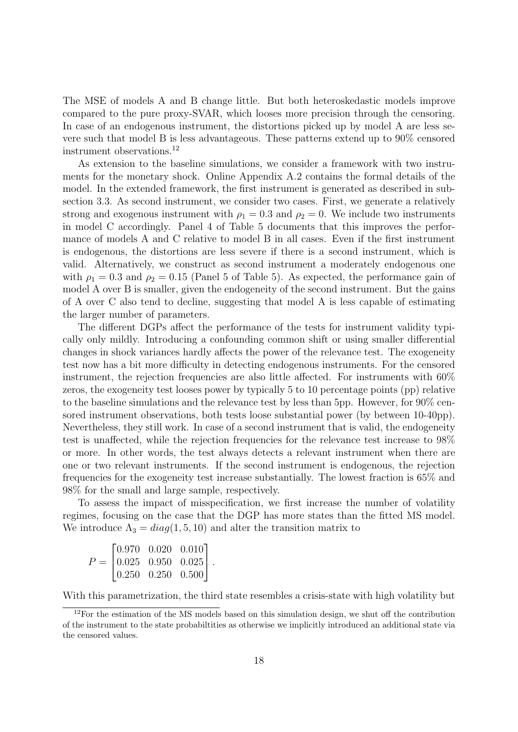The MSE of models A and B change little. But both heteroskedastic models improve compared to the pure proxy-SVAR, which looses more precision through the censoring. In case of an endogenous instrument, the distortions picked up by model A are less severe such that model B is less advantageous. These patterns extend up to 90% censored instrument observations.[12](#page-18-0)

As extension to the baseline simulations, we consider a framework with two instruments for the monetary shock. Online Appendix A.2 contains the formal details of the model. In the extended framework, the first instrument is generated as described in [sub](#page-12-2)[section 3.3.](#page-12-2) As second instrument, we consider two cases. First, we generate a relatively strong and exogenous instrument with  $\rho_1 = 0.3$  and  $\rho_2 = 0$ . We include two instruments in model C accordingly. Panel 4 of [Table 5](#page-17-0) documents that this improves the performance of models A and C relative to model B in all cases. Even if the first instrument is endogenous, the distortions are less severe if there is a second instrument, which is valid. Alternatively, we construct as second instrument a moderately endogenous one with  $\rho_1 = 0.3$  and  $\rho_2 = 0.15$  (Panel 5 of [Table 5\)](#page-17-0). As expected, the performance gain of model A over B is smaller, given the endogeneity of the second instrument. But the gains of A over C also tend to decline, suggesting that model A is less capable of estimating the larger number of parameters.

The different DGPs affect the performance of the tests for instrument validity typically only mildly. Introducing a confounding common shift or using smaller differential changes in shock variances hardly affects the power of the relevance test. The exogeneity test now has a bit more difficulty in detecting endogenous instruments. For the censored instrument, the rejection frequencies are also little affected. For instruments with 60% zeros, the exogeneity test looses power by typically 5 to 10 percentage points (pp) relative to the baseline simulations and the relevance test by less than 5pp. However, for 90% censored instrument observations, both tests loose substantial power (by between 10-40pp). Nevertheless, they still work. In case of a second instrument that is valid, the endogeneity test is unaffected, while the rejection frequencies for the relevance test increase to 98% or more. In other words, the test always detects a relevant instrument when there are one or two relevant instruments. If the second instrument is endogenous, the rejection frequencies for the exogeneity test increase substantially. The lowest fraction is 65% and 98% for the small and large sample, respectively.

To assess the impact of misspecification, we first increase the number of volatility regimes, focusing on the case that the DGP has more states than the fitted MS model. We introduce  $\Lambda_3 = diag(1, 5, 10)$  and alter the transition matrix to

|  | $P = \begin{bmatrix} 0.970 & 0.020 & 0.010 \\ 0.025 & 0.950 & 0.025 \\ 0.250 & 0.250 & 0.500 \end{bmatrix}.$ |  |
|--|--------------------------------------------------------------------------------------------------------------|--|

With this parametrization, the third state resembles a crisis-state with high volatility but

<span id="page-18-0"></span> $12$ For the estimation of the MS models based on this simulation design, we shut off the contribution of the instrument to the state probabiltities as otherwise we implicitly introduced an additional state via the censored values.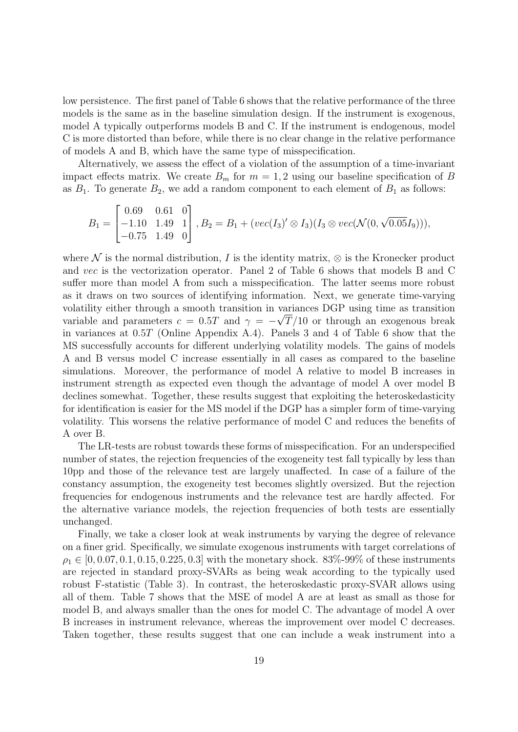low persistence. The first panel of Table [6](#page-20-0) shows that the relative performance of the three models is the same as in the baseline simulation design. If the instrument is exogenous, model A typically outperforms models B and C. If the instrument is endogenous, model C is more distorted than before, while there is no clear change in the relative performance of models A and B, which have the same type of misspecification.

Alternatively, we assess the effect of a violation of the assumption of a time-invariant impact effects matrix. We create  $B_m$  for  $m = 1, 2$  using our baseline specification of B as  $B_1$ . To generate  $B_2$ , we add a random component to each element of  $B_1$  as follows:

$$
B_1 = \begin{bmatrix} 0.69 & 0.61 & 0 \\ -1.10 & 1.49 & 1 \\ -0.75 & 1.49 & 0 \end{bmatrix}, B_2 = B_1 + (vec(I_3)' \otimes I_3)(I_3 \otimes vec(\mathcal{N}(0, \sqrt{0.05}I_9))),
$$

where N is the normal distribution, I is the identity matrix,  $\otimes$  is the Kronecker product and vec is the vectorization operator. Panel 2 of [Table 6](#page-20-0) shows that models B and C suffer more than model A from such a misspecification. The latter seems more robust as it draws on two sources of identifying information. Next, we generate time-varying volatility either through a smooth transition in variances DGP using time as transition variable and parameters  $c = 0.5T$  and  $\gamma = -\sqrt{T/10}$  or through an exogenous break in variances at 0.5T (Online Appendix A.4). Panels 3 and 4 of [Table 6](#page-20-0) show that the MS successfully accounts for different underlying volatility models. The gains of models A and B versus model C increase essentially in all cases as compared to the baseline simulations. Moreover, the performance of model A relative to model B increases in instrument strength as expected even though the advantage of model A over model B declines somewhat. Together, these results suggest that exploiting the heteroskedasticity for identification is easier for the MS model if the DGP has a simpler form of time-varying volatility. This worsens the relative performance of model C and reduces the benefits of A over B.

The LR-tests are robust towards these forms of misspecification. For an underspecified number of states, the rejection frequencies of the exogeneity test fall typically by less than 10pp and those of the relevance test are largely unaffected. In case of a failure of the constancy assumption, the exogeneity test becomes slightly oversized. But the rejection frequencies for endogenous instruments and the relevance test are hardly affected. For the alternative variance models, the rejection frequencies of both tests are essentially unchanged.

Finally, we take a closer look at weak instruments by varying the degree of relevance on a finer grid. Specifically, we simulate exogenous instruments with target correlations of  $\rho_1 \in [0, 0.07, 0.1, 0.15, 0.225, 0.3]$  with the monetary shock. 83%-99% of these instruments are rejected in standard proxy-SVARs as being weak according to the typically used robust F-statistic [\(Table 3\)](#page-14-0). In contrast, the heteroskedastic proxy-SVAR allows using all of them. [Table 7](#page-21-1) shows that the MSE of model A are at least as small as those for model B, and always smaller than the ones for model C. The advantage of model A over B increases in instrument relevance, whereas the improvement over model C decreases. Taken together, these results suggest that one can include a weak instrument into a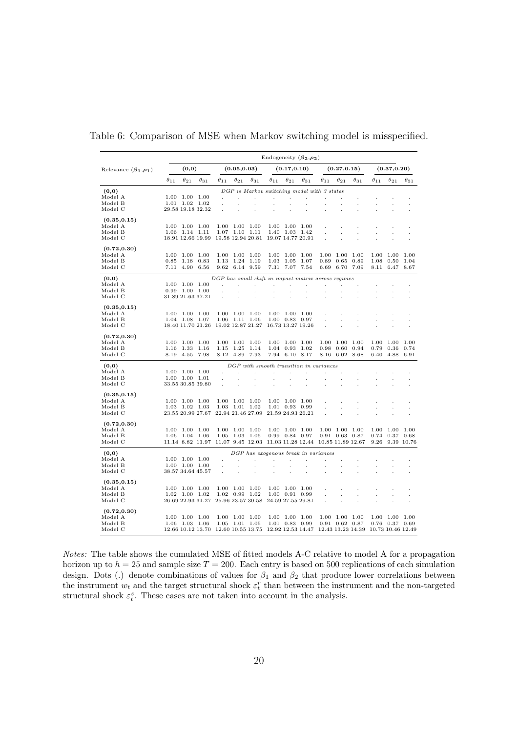|                               |               |                          |                                     |                   |                   |                          |                   |                   | Endogeneity $(\beta_2,\rho_2)$                      |               |                           |               |                   |               |               |
|-------------------------------|---------------|--------------------------|-------------------------------------|-------------------|-------------------|--------------------------|-------------------|-------------------|-----------------------------------------------------|---------------|---------------------------|---------------|-------------------|---------------|---------------|
| Relevance $(\beta_1, \rho_1)$ |               | (0,0)                    |                                     |                   | (0.05, 0.03)      |                          |                   | (0.17, 0.10)      |                                                     |               | (0.27, 0.15)              |               |                   | (0.37, 0.20)  |               |
|                               | $\theta_{11}$ | $\theta_{21}$            | $\theta_{31}$                       | $\theta_{11}$     | $\theta_{21}$     | $\theta_{31}$            | $\theta_{11}$     | $\theta_{21}$     | $\theta_{31}$                                       | $\theta_{11}$ | $\theta_{21}$             | $\theta_{31}$ | $\theta_{11}$     | $\theta_{21}$ | $\theta_{31}$ |
| (0,0)                         |               |                          |                                     |                   |                   |                          |                   |                   | DGP is Markov switching model with 3 states         |               |                           |               |                   |               |               |
| Model A                       |               | 1.00 1.00 1.00           |                                     | ÷.                |                   |                          | ÷.                |                   | ł.                                                  |               |                           |               |                   |               |               |
| Model B                       | 1.01          | $1.02 \quad 1.02$        |                                     |                   |                   |                          | ×.                |                   |                                                     |               |                           |               |                   |               |               |
| Model C                       |               | 29.58 19.18 32.32        |                                     |                   |                   |                          |                   |                   |                                                     |               |                           |               |                   |               |               |
| (0.35, 0.15)<br>Model A       | 1.00          | 1.00                     | 1.00                                | 1.00              | 1.00              | - 1.00                   |                   | 1.00 1.00         | 1.00                                                |               |                           |               |                   |               |               |
| Model B                       | $1.06\,$      | 1.14                     | 1.11                                | 1.07              | 1.10              | 1.11                     |                   | 1.40 1.03         | 1.42                                                |               |                           |               |                   |               |               |
| Model C                       |               | 18.91 12.66 19.99        |                                     |                   | 19.58 12.94 20.81 |                          |                   | 19.07 14.77 20.91 |                                                     |               |                           |               |                   |               |               |
| (0.72, 0.30)                  |               |                          |                                     |                   |                   |                          |                   |                   |                                                     |               |                           |               |                   |               |               |
| Model A                       | 1.00          | 1.00                     | 1.00                                | 1.00              | 1.00              | 1.00                     | 1.00              | 1.00              | 1.00                                                | 1.00          | 1.00                      | 1.00          | 1.00              | 1.00          | 1.00          |
| Model B                       | 0.85          | 1.18                     | 0.83                                | 1.13              | 1.24              | 1.19                     | 1.03              | 1.05              | 1.07                                                | 0.89          | 0.65                      | 0.89          | 1.08              | 0.50          | 1.04          |
| Model C                       | 7.11          | 4.90                     | 6.56                                |                   | 9.62 6.14         | 9.59                     | 7.31              | 7.07              | 7.54                                                | 6.69          | 6.70                      | 7.09          | 8.11              | 6.47          | 8.67          |
| (0,0)                         |               |                          |                                     |                   |                   |                          |                   |                   | DGP has small shift in impact matrix across regimes |               |                           |               |                   |               |               |
| Model A                       | 1.00          | 1.00                     | 1.00                                |                   |                   |                          |                   |                   |                                                     |               |                           |               |                   |               |               |
| Model B                       | 0.99          | 1.00                     | $1.00\,$                            |                   | ä,                | ×,                       | ÷.                | ÷.                |                                                     |               |                           |               |                   |               |               |
| Model C                       |               | 31.89 21.63 37.21        |                                     |                   |                   | $\mathbf{r}$             | ÷                 |                   |                                                     |               |                           |               |                   |               |               |
| (0.35, 0.15)                  |               |                          |                                     |                   |                   |                          |                   |                   |                                                     |               |                           |               |                   |               |               |
| Model A                       | 1.00          | 1.00 1.00                |                                     |                   | 1.00 1.00 1.00    |                          |                   | 1.00 1.00         | - 1.00                                              |               |                           |               |                   |               |               |
| Model B                       | $1.04\,$      | 1.08                     | 1.07                                |                   | 1.06 1.11         | 1.06                     |                   | 1.00 0.83 0.97    |                                                     |               |                           |               |                   |               |               |
| Model C                       |               | 18.40 11.70 21.26        |                                     | 19.02 12.87 21.27 |                   |                          |                   | 16.73 13.27 19.26 |                                                     |               |                           |               |                   |               |               |
| (0.72, 0.30)                  |               |                          |                                     |                   |                   |                          |                   |                   |                                                     |               |                           |               |                   |               |               |
| Model A                       | 1.00          | 1.00                     | 1.00                                |                   | 1.00 1.00         | - 1.00                   |                   | 1.00 1.00         | - 1.00                                              | 1.00          | 1.00                      | 1.00          | 1.00              | 1.00          | 1.00          |
| Model B                       | 1.16          | 1.33                     | 1.16                                | $1.15\,$          | 1.25              | 1.14                     | $1.04\,$          | 0.93              | 1.02                                                | 0.98          | 0.60                      | 0.94          | 0.79              | 0.36          | 0.74          |
| Model C                       | 8.19          | 4.55                     | 7.98                                | 8.12              | 4.89              | 7.93                     | 7.94              | 6.10              | 8.17                                                | 8.16          | 6.02                      | 8.68          | 6.40              | 4.88          | 6.91          |
| (0, 0)                        |               |                          |                                     |                   |                   |                          |                   |                   | DGP with smooth transition in variances             |               |                           |               |                   |               |               |
| Model A                       | 1.00          | 1.00 1.00                |                                     |                   |                   |                          |                   |                   |                                                     |               |                           |               |                   |               |               |
| Model B                       |               | 1.00 1.00 1.01           |                                     |                   |                   |                          |                   | ÷,                | $\cdot$                                             | ÷,            |                           |               |                   |               |               |
| Model C                       |               | 33.55 30.85 39.80        |                                     |                   |                   |                          |                   |                   | ł.                                                  |               |                           |               |                   |               |               |
| (0.35, 0.15)                  |               |                          |                                     |                   |                   |                          |                   |                   |                                                     |               |                           |               |                   |               |               |
| Model A                       | 1.00          | 1.00                     | 1.00                                | 1.00              | 1.00              | 1.00                     |                   | 1.00 1.00         | 1.00                                                |               |                           |               |                   |               |               |
| Model B                       | 1.03          | 1.02                     | - 1.03                              | $1.03\,$          | 1.01              | 1.02                     |                   | 1.01 0.93         | 0.99                                                |               |                           |               |                   |               |               |
| Model C                       |               | 23.55 20.99 27.67        |                                     | 22.94 21.46 27.09 |                   |                          | 21.59 24.93 26.21 |                   |                                                     |               |                           |               |                   |               |               |
| (0.72, 0.30)                  |               |                          |                                     |                   |                   |                          |                   |                   |                                                     |               |                           |               |                   |               |               |
| Model A                       | 1.00          | 1.00                     | 1.00                                | 1.00              | 1.00              | 1.00                     |                   | 1.00 1.00         | - 1.00                                              | 1.00          | $1.00\,$                  | 1.00          | 1.00              | 1.00          | 1.00<br>0.68  |
| Model B<br>Model C            | 1.06          | 1.04<br>11.14 8.82 11.97 | 1.06                                | $1.05\,$          | 1.03              | 1.05<br>11.07 9.45 12.03 | 11.03 11.28 12.44 | 0.99 0.84 0.97    |                                                     | 0.91          | 0.63<br>10.85 11.89 12.67 | 0.87          | 0.74<br>9.26      | 0.37          | 9.39 10.76    |
|                               |               |                          |                                     |                   |                   |                          |                   |                   |                                                     |               |                           |               |                   |               |               |
| (0,0)<br>Model A              | 1.00          | $1.00\,$                 | -1.00                               |                   |                   |                          | ł.                |                   | DGP has exogenous break in variances                |               |                           |               |                   |               |               |
| Model B                       |               | 1.00 1.00 1.00           |                                     |                   | ł.                | ×                        |                   |                   |                                                     |               |                           |               |                   |               |               |
| Model C                       |               | 38.57 34.64 45.57        |                                     |                   |                   |                          |                   |                   |                                                     |               |                           |               |                   |               |               |
| (0.35, 0.15)                  |               |                          |                                     |                   |                   |                          |                   |                   |                                                     |               |                           |               |                   |               |               |
| Model A                       | 1.00          | 1.00                     | 1.00                                | 1.00              | 1.00              | 1.00                     |                   | 1.00 1.00         | 1.00                                                |               |                           |               |                   |               |               |
| Model B                       | 1.02          | 1.00                     | 1.02                                | $1.02\,$          | 0.99              | 1.02                     |                   | 1.00 0.91         | 0.99                                                |               |                           |               |                   |               |               |
| Model C                       |               | 26.69 22.93 31.27        |                                     | 25.96 23.57 30.58 |                   |                          | 24.59 27.55 29.81 |                   |                                                     |               |                           |               |                   |               |               |
| (0.72, 0.30)                  |               |                          |                                     |                   |                   |                          |                   |                   |                                                     |               |                           |               |                   |               |               |
| Model A                       |               | 1.00 1.00 1.00           |                                     | 1.00              | 1.00 1.00         |                          |                   | 1.00 1.00 1.00    |                                                     | 1.00          | 1.00                      | 1.00          | 1.00              | 1.00          | 1.00          |
| Model B                       |               | 1.06 1.03                | - 1.06                              | 1.05              | 1.01              | - 1.05                   |                   | 1.01 0.83 0.99    |                                                     | 0.91          | $0.62$ 0.87               |               | 0.76              | 0.37          | 0.69          |
| Model C                       |               |                          | 12.66 10.12 13.70 12.60 10.55 13.75 |                   |                   |                          |                   |                   | 12.92 12.53 14.47 12.43 13.23 14.39                 |               |                           |               | 10.73 10.46 12.49 |               |               |

<span id="page-20-0"></span>Table 6: Comparison of MSE when Markov switching model is misspecified.

Notes: The table shows the cumulated MSE of fitted models A-C relative to model A for a propagation horizon up to  $h = 25$  and sample size  $T = 200$ . Each entry is based on 500 replications of each simulation design. Dots (.) denote combinations of values for  $\beta_1$  and  $\beta_2$  that produce lower correlations between the instrument  $w_t$  and the target structural shock  $\varepsilon_t^r$  than between the instrument and the non-targeted structural shock  $\varepsilon_t^z$ . These cases are not taken into account in the analysis.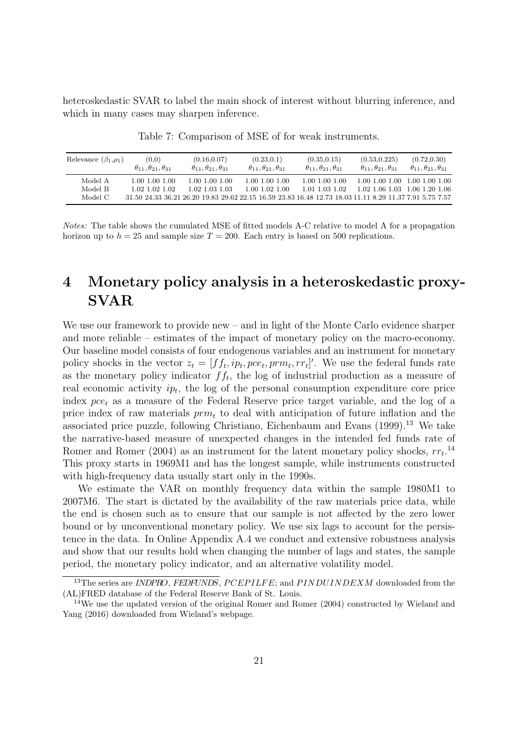heteroskedastic SVAR to label the main shock of interest without blurring inference, and which in many cases may sharpen inference.

<span id="page-21-1"></span>

| Relevance $(\beta_1, \rho_1)$ | (0,0)<br>$\theta_{11}, \theta_{21}, \theta_{31}$ | (0.16, 0.07)<br>$\theta_{11}, \theta_{21}, \theta_{31}$ | (0.23, 0.1)<br>$\theta_{11}, \theta_{21}, \theta_{31}$ | (0.35, 0.15)<br>$\theta_{11}, \theta_{21}, \theta_{31}$                                                 | (0.53, 0.225)<br>$\theta_{11}, \theta_{21}, \theta_{31}$ | (0.72, 0.30)<br>$\theta_{11}, \theta_{21}, \theta_{31}$ |
|-------------------------------|--------------------------------------------------|---------------------------------------------------------|--------------------------------------------------------|---------------------------------------------------------------------------------------------------------|----------------------------------------------------------|---------------------------------------------------------|
| Model A                       | 1.00 1.00 1.00                                   | 1.00 1.00 1.00                                          | 1.00 1.00 1.00                                         | 1.00 1.00 1.00                                                                                          |                                                          | 1.00 1.00 1.00 1.00 1.00 1.00                           |
| Model B                       | 1.02.1.02.1.02                                   | 1.02.1.03.1.03                                          | 1.00 1.02 1.00                                         | 1.01.1.03.1.02                                                                                          |                                                          | 1.02 1.06 1.03 1.06 1.20 1.06                           |
| Model C                       |                                                  |                                                         |                                                        | 31.50 24.33 36.21 26.20 19.83 29.62 22.15 16.59 23.83 16.48 12.73 18.03 11.11 8.29 11.37 7.91 5.75 7.57 |                                                          |                                                         |

Table 7: Comparison of MSE of for weak instruments.

Notes: The table shows the cumulated MSE of fitted models A-C relative to model A for a propagation horizon up to  $h = 25$  and sample size  $T = 200$ . Each entry is based on 500 replications.

# <span id="page-21-0"></span>4 Monetary policy analysis in a heteroskedastic proxy-SVAR

We use our framework to provide new – and in light of the Monte Carlo evidence sharper and more reliable – estimates of the impact of monetary policy on the macro-economy. Our baseline model consists of four endogenous variables and an instrument for monetary policy shocks in the vector  $z_t = [f_{t}, ip_t, pce_t, prm_t, rr_t]$ . We use the federal funds rate as the monetary policy indicator  $ff_t$ , the log of industrial production as a measure of real economic activity  $ip_t$ , the log of the personal consumption expenditure core price index  $pce_t$  as a measure of the Federal Reserve price target variable, and the log of a price index of raw materials  $\text{prm}_t$  to deal with anticipation of future inflation and the associated price puzzle, following Christiano, Eichenbaum and Evans (1999).[13](#page-21-2) We take the narrative-based measure of unexpected changes in the intended fed funds rate of Romer and Romer (2004) as an instrument for the latent monetary policy shocks,  $rr_t$ <sup>[14](#page-21-3)</sup> This proxy starts in 1969M1 and has the longest sample, while instruments constructed with high-frequency data usually start only in the 1990s.

We estimate the VAR on monthly frequency data within the sample 1980M1 to 2007M6. The start is dictated by the availability of the raw materials price data, while the end is chosen such as to ensure that our sample is not affected by the zero lower bound or by unconventional monetary policy. We use six lags to account for the persistence in the data. In Online Appendix A.4 we conduct and extensive robustness analysis and show that our results hold when changing the number of lags and states, the sample period, the monetary policy indicator, and an alternative volatility model.

<span id="page-21-2"></span> $13$ The series are INDPRO, FEDFUNDS, PCEPILFE; and PINDUINDEXM downloaded from the (AL)FRED database of the Federal Reserve Bank of St. Louis.

<span id="page-21-3"></span> $14$ We use the updated version of the original Romer and Romer (2004) constructed by Wieland and Yang (2016) downloaded from Wieland's webpage.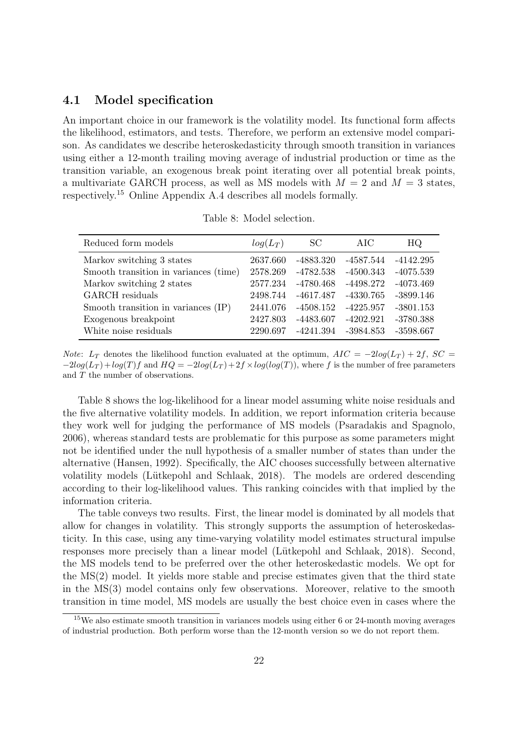## 4.1 Model specification

An important choice in our framework is the volatility model. Its functional form affects the likelihood, estimators, and tests. Therefore, we perform an extensive model comparison. As candidates we describe heteroskedasticity through smooth transition in variances using either a 12-month trailing moving average of industrial production or time as the transition variable, an exogenous break point iterating over all potential break points, a multivariate GARCH process, as well as MS models with  $M = 2$  and  $M = 3$  states, respectively.[15](#page-22-0) Online Appendix A.4 describes all models formally.

<span id="page-22-1"></span>

| Reduced form models                   | $log(L_T)$ | SC.         | AIC         | HQ.         |
|---------------------------------------|------------|-------------|-------------|-------------|
| Markov switching 3 states             | 2637.660   | -4883.320   | -4587.544   | $-4142.295$ |
| Smooth transition in variances (time) | 2578.269   | -4782.538   | $-4500.343$ | $-4075.539$ |
| Markov switching 2 states             | 2577.234   | -4780.468   | -4498.272   | $-4073.469$ |
| GARCH residuals                       | 2498.744   | -4617.487   | -4330.765   | $-3899.146$ |
| Smooth transition in variances (IP)   | 2441.076   | -4508.152   | $-4225.957$ | $-3801.153$ |
| Exogenous breakpoint                  | 2427.803   | $-4483.607$ | $-4202.921$ | $-3780.388$ |
| White noise residuals                 | 2290.697   | -4241.394   | $-3984.853$ | $-3598.667$ |
|                                       |            |             |             |             |

Table 8: Model selection.

*Note:*  $L_T$  denotes the likelihood function evaluated at the optimum,  $AIC = -2log(L_T) + 2f$ ,  $SC =$  $-2log(L_T) + log(T)f$  and  $HQ = -2log(L_T) + 2f \times log(log(T))$ , where f is the number of free parameters and T the number of observations.

Table [8](#page-22-1) shows the log-likelihood for a linear model assuming white noise residuals and the five alternative volatility models. In addition, we report information criteria because they work well for judging the performance of MS models (Psaradakis and Spagnolo, 2006), whereas standard tests are problematic for this purpose as some parameters might not be identified under the null hypothesis of a smaller number of states than under the alternative (Hansen, 1992). Specifically, the AIC chooses successfully between alternative volatility models (Lütkepohl and Schlaak, 2018). The models are ordered descending according to their log-likelihood values. This ranking coincides with that implied by the information criteria.

The table conveys two results. First, the linear model is dominated by all models that allow for changes in volatility. This strongly supports the assumption of heteroskedasticity. In this case, using any time-varying volatility model estimates structural impulse responses more precisely than a linear model (Lütkepohl and Schlaak, 2018). Second, the MS models tend to be preferred over the other heteroskedastic models. We opt for the MS(2) model. It yields more stable and precise estimates given that the third state in the MS(3) model contains only few observations. Moreover, relative to the smooth transition in time model, MS models are usually the best choice even in cases where the

<span id="page-22-0"></span><sup>&</sup>lt;sup>15</sup>We also estimate smooth transition in variances models using either 6 or 24-month moving averages of industrial production. Both perform worse than the 12-month version so we do not report them.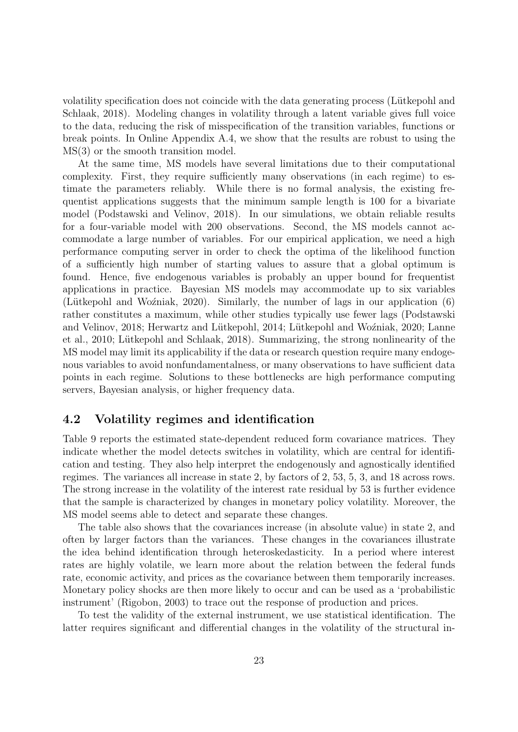volatility specification does not coincide with the data generating process (Lütkepohl and Schlaak, 2018). Modeling changes in volatility through a latent variable gives full voice to the data, reducing the risk of misspecification of the transition variables, functions or break points. In Online Appendix A.4, we show that the results are robust to using the MS(3) or the smooth transition model.

At the same time, MS models have several limitations due to their computational complexity. First, they require sufficiently many observations (in each regime) to estimate the parameters reliably. While there is no formal analysis, the existing frequentist applications suggests that the minimum sample length is 100 for a bivariate model (Podstawski and Velinov, 2018). In our simulations, we obtain reliable results for a four-variable model with 200 observations. Second, the MS models cannot accommodate a large number of variables. For our empirical application, we need a high performance computing server in order to check the optima of the likelihood function of a sufficiently high number of starting values to assure that a global optimum is found. Hence, five endogenous variables is probably an upper bound for frequentist applications in practice. Bayesian MS models may accommodate up to six variables (Lütkepohl and Woźniak, 2020). Similarly, the number of lags in our application  $(6)$ rather constitutes a maximum, while other studies typically use fewer lags (Podstawski and Velinov, 2018; Herwartz and Lütkepohl, 2014; Lütkepohl and Woźniak, 2020; Lanne et al., 2010; Lütkepohl and Schlaak, 2018). Summarizing, the strong nonlinearity of the MS model may limit its applicability if the data or research question require many endogenous variables to avoid nonfundamentalness, or many observations to have sufficient data points in each regime. Solutions to these bottlenecks are high performance computing servers, Bayesian analysis, or higher frequency data.

# 4.2 Volatility regimes and identification

Table [9](#page-24-0) reports the estimated state-dependent reduced form covariance matrices. They indicate whether the model detects switches in volatility, which are central for identification and testing. They also help interpret the endogenously and agnostically identified regimes. The variances all increase in state 2, by factors of 2, 53, 5, 3, and 18 across rows. The strong increase in the volatility of the interest rate residual by 53 is further evidence that the sample is characterized by changes in monetary policy volatility. Moreover, the MS model seems able to detect and separate these changes.

The table also shows that the covariances increase (in absolute value) in state 2, and often by larger factors than the variances. These changes in the covariances illustrate the idea behind identification through heteroskedasticity. In a period where interest rates are highly volatile, we learn more about the relation between the federal funds rate, economic activity, and prices as the covariance between them temporarily increases. Monetary policy shocks are then more likely to occur and can be used as a 'probabilistic instrument' (Rigobon, 2003) to trace out the response of production and prices.

To test the validity of the external instrument, we use statistical identification. The latter requires significant and differential changes in the volatility of the structural in-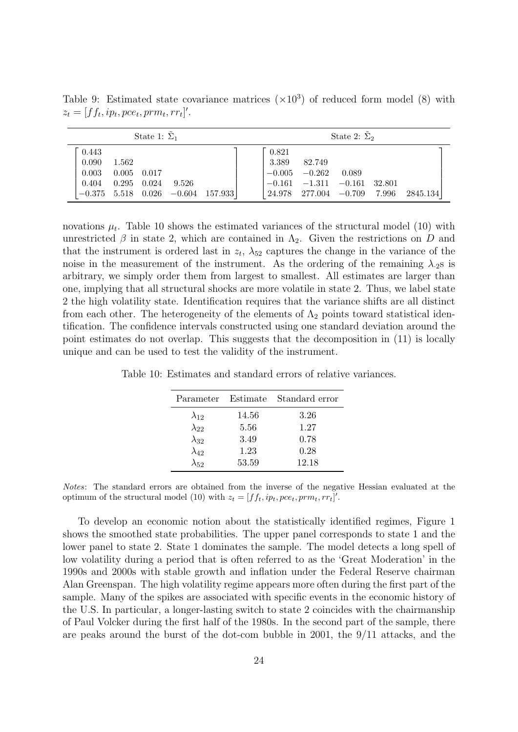<span id="page-24-0"></span>

|                                  |                                         | State 1: $\Sigma_1$ |       |                                       |                |                                                                  | State 2: $\Sigma_2$ |          |
|----------------------------------|-----------------------------------------|---------------------|-------|---------------------------------------|----------------|------------------------------------------------------------------|---------------------|----------|
| 0.443<br>0.090<br>0.003<br>0.404 | 1.562<br>$0.005$ 0.017<br>$0.295$ 0.024 |                     | 9.526 |                                       | 0.821<br>3.389 | 82.749<br>$-0.005$ $-0.262$<br>$-0.161$ $-1.311$ $-0.161$ 32.801 | 0.089               |          |
|                                  |                                         |                     |       | $-0.375$ 5.518 0.026 $-0.604$ 157.933 |                | $\vert 24.978 \quad 277.004 \quad -0.709 \quad 7.996$            |                     | 2845.134 |

Table 9: Estimated state covariance matrices  $(\times 10^3)$  of reduced form model [\(8\)](#page-5-7) with  $z_t = [ff_t, ip_t, pce_t, prm_t, rr_t]'$ .

novations  $\mu_t$ . Table [10](#page-24-1) shows the estimated variances of the structural model [\(10\)](#page-5-8) with unrestricted  $\beta$  in state 2, which are contained in  $\Lambda_2$ . Given the restrictions on D and that the instrument is ordered last in  $z_t$ ,  $\lambda_{52}$  captures the change in the variance of the noise in the measurement of the instrument. As the ordering of the remaining  $\lambda_{.2}$ s is arbitrary, we simply order them from largest to smallest. All estimates are larger than one, implying that all structural shocks are more volatile in state 2. Thus, we label state 2 the high volatility state. Identification requires that the variance shifts are all distinct from each other. The heterogeneity of the elements of  $\Lambda_2$  points toward statistical identification. The confidence intervals constructed using one standard deviation around the point estimates do not overlap. This suggests that the decomposition in [\(11\)](#page-6-2) is locally unique and can be used to test the validity of the instrument.

<span id="page-24-1"></span>Table 10: Estimates and standard errors of relative variances.

| Parameter      | Estimate | Standard error |
|----------------|----------|----------------|
| $\lambda_{12}$ | 14.56    | 3.26           |
| $\lambda_{22}$ | 5.56     | 1.27           |
| $\lambda_{32}$ | 3.49     | 0.78           |
| $\lambda_{42}$ | 1.23     | 0.28           |
| $\lambda_{52}$ | 53.59    | 12.18          |

Notes: The standard errors are obtained from the inverse of the negative Hessian evaluated at the optimum of the structural model [\(10\)](#page-5-8) with  $z_t = [ff_t, ip_t, pce_t, prm_t, rr_t]'$ .

To develop an economic notion about the statistically identified regimes, Figure [1](#page-25-0) shows the smoothed state probabilities. The upper panel corresponds to state 1 and the lower panel to state 2. State 1 dominates the sample. The model detects a long spell of low volatility during a period that is often referred to as the 'Great Moderation' in the 1990s and 2000s with stable growth and inflation under the Federal Reserve chairman Alan Greenspan. The high volatility regime appears more often during the first part of the sample. Many of the spikes are associated with specific events in the economic history of the U.S. In particular, a longer-lasting switch to state 2 coincides with the chairmanship of Paul Volcker during the first half of the 1980s. In the second part of the sample, there are peaks around the burst of the dot-com bubble in 2001, the 9/11 attacks, and the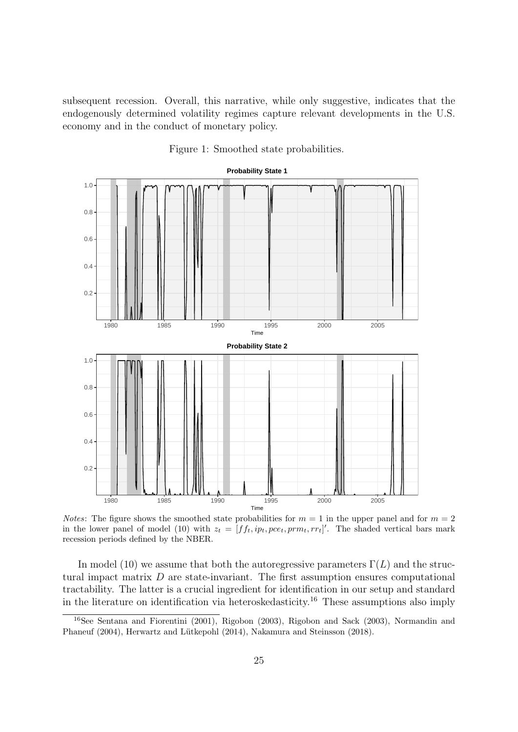subsequent recession. Overall, this narrative, while only suggestive, indicates that the endogenously determined volatility regimes capture relevant developments in the U.S. economy and in the conduct of monetary policy.

<span id="page-25-0"></span>

Figure 1: Smoothed state probabilities.

*Notes*: The figure shows the smoothed state probabilities for  $m = 1$  in the upper panel and for  $m = 2$ in the lower panel of model [\(10\)](#page-5-8) with  $z_t = [ff_t, ip_t, pce_t, prm_t, rr_t]'$ . The shaded vertical bars mark recession periods defined by the NBER.

In model [\(10\)](#page-5-8) we assume that both the autoregressive parameters  $\Gamma(L)$  and the structural impact matrix  $D$  are state-invariant. The first assumption ensures computational tractability. The latter is a crucial ingredient for identification in our setup and standard in the literature on identification via heteroskedasticity.[16](#page-25-1) These assumptions also imply

<span id="page-25-1"></span><sup>16</sup>See Sentana and Fiorentini (2001), Rigobon (2003), Rigobon and Sack (2003), Normandin and Phaneuf (2004), Herwartz and Lütkepohl (2014), Nakamura and Steinsson (2018).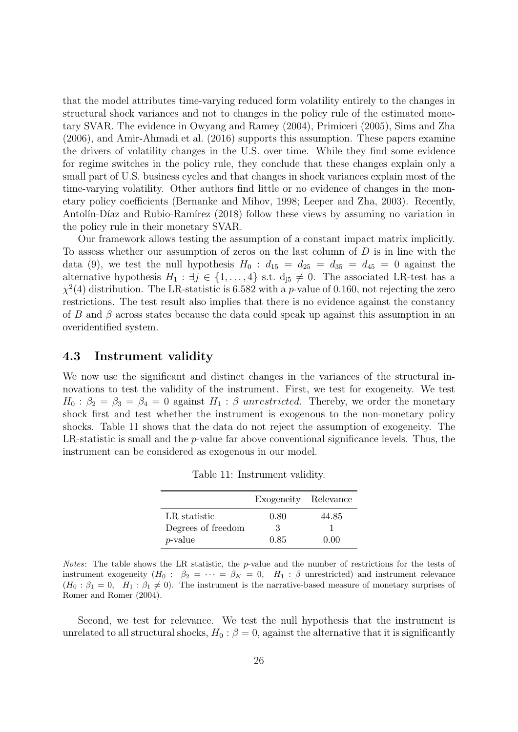that the model attributes time-varying reduced form volatility entirely to the changes in structural shock variances and not to changes in the policy rule of the estimated monetary SVAR. The evidence in Owyang and Ramey (2004), Primiceri (2005), Sims and Zha (2006), and Amir-Ahmadi et al. (2016) supports this assumption. These papers examine the drivers of volatility changes in the U.S. over time. While they find some evidence for regime switches in the policy rule, they conclude that these changes explain only a small part of U.S. business cycles and that changes in shock variances explain most of the time-varying volatility. Other authors find little or no evidence of changes in the monetary policy coefficients (Bernanke and Mihov, 1998; Leeper and Zha, 2003). Recently, Antolín-Díaz and Rubio-Ramírez (2018) follow these views by assuming no variation in the policy rule in their monetary SVAR.

Our framework allows testing the assumption of a constant impact matrix implicitly. To assess whether our assumption of zeros on the last column of  $D$  is in line with the data [\(9\)](#page-5-6), we test the null hypothesis  $H_0$ :  $d_{15} = d_{25} = d_{35} = d_{45} = 0$  against the alternative hypothesis  $H_1 : \exists j \in \{1, ..., 4\}$  s.t.  $d_{j5} \neq 0$ . The associated LR-test has a  $\chi^2(4)$  distribution. The LR-statistic is 6.582 with a p-value of 0.160, not rejecting the zero restrictions. The test result also implies that there is no evidence against the constancy of B and  $\beta$  across states because the data could speak up against this assumption in an overidentified system.

## 4.3 Instrument validity

We now use the significant and distinct changes in the variances of the structural innovations to test the validity of the instrument. First, we test for exogeneity. We test  $H_0$ :  $\beta_2 = \beta_3 = \beta_4 = 0$  against  $H_1$ :  $\beta$  unrestricted. Thereby, we order the monetary shock first and test whether the instrument is exogenous to the non-monetary policy shocks. Table [11](#page-26-0) shows that the data do not reject the assumption of exogeneity. The LR-statistic is small and the p-value far above conventional significance levels. Thus, the instrument can be considered as exogenous in our model.

|                    | Exogeneity Relevance |       |
|--------------------|----------------------|-------|
| LR statistic       | 0.80                 | 44.85 |
| Degrees of freedom | 3                    |       |
| $p$ -value         | 0.85                 | 0.00  |

Table 11: Instrument validity.

<span id="page-26-0"></span>Notes: The table shows the LR statistic, the p-value and the number of restrictions for the tests of instrument exogeneity  $(H_0: \beta_2 = \cdots = \beta_K = 0, H_1: \beta$  unrestricted) and instrument relevance  $(H_0: \beta_1 = 0, H_1: \beta_1 \neq 0)$ . The instrument is the narrative-based measure of monetary surprises of Romer and Romer (2004).

Second, we test for relevance. We test the null hypothesis that the instrument is unrelated to all structural shocks,  $H_0$ :  $\beta = 0$ , against the alternative that it is significantly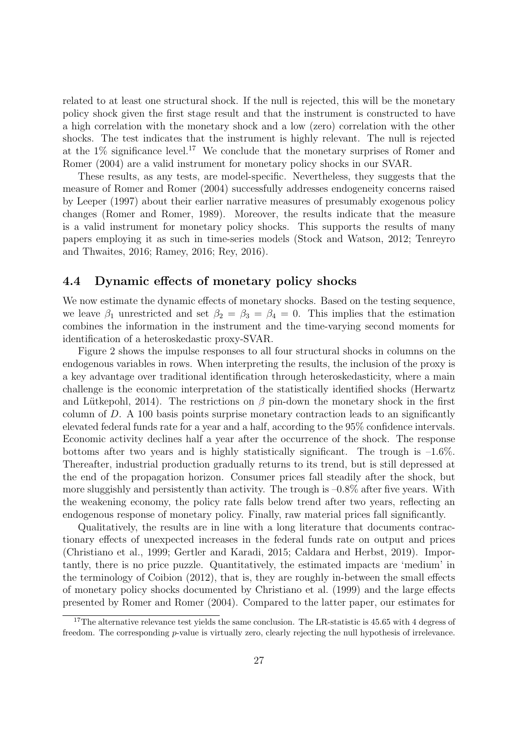related to at least one structural shock. If the null is rejected, this will be the monetary policy shock given the first stage result and that the instrument is constructed to have a high correlation with the monetary shock and a low (zero) correlation with the other shocks. The test indicates that the instrument is highly relevant. The null is rejected at the  $1\%$  significance level.<sup>[17](#page-27-0)</sup> We conclude that the monetary surprises of Romer and Romer (2004) are a valid instrument for monetary policy shocks in our SVAR.

These results, as any tests, are model-specific. Nevertheless, they suggests that the measure of Romer and Romer (2004) successfully addresses endogeneity concerns raised by Leeper (1997) about their earlier narrative measures of presumably exogenous policy changes (Romer and Romer, 1989). Moreover, the results indicate that the measure is a valid instrument for monetary policy shocks. This supports the results of many papers employing it as such in time-series models (Stock and Watson, 2012; Tenreyro and Thwaites, 2016; Ramey, 2016; Rey, 2016).

# 4.4 Dynamic effects of monetary policy shocks

We now estimate the dynamic effects of monetary shocks. Based on the testing sequence, we leave  $\beta_1$  unrestricted and set  $\beta_2 = \beta_3 = \beta_4 = 0$ . This implies that the estimation combines the information in the instrument and the time-varying second moments for identification of a heteroskedastic proxy-SVAR.

Figure [2](#page-28-0) shows the impulse responses to all four structural shocks in columns on the endogenous variables in rows. When interpreting the results, the inclusion of the proxy is a key advantage over traditional identification through heteroskedasticity, where a main challenge is the economic interpretation of the statistically identified shocks (Herwartz and Lütkepohl, 2014). The restrictions on  $\beta$  pin-down the monetary shock in the first column of D. A 100 basis points surprise monetary contraction leads to an significantly elevated federal funds rate for a year and a half, according to the 95% confidence intervals. Economic activity declines half a year after the occurrence of the shock. The response bottoms after two years and is highly statistically significant. The trough is  $-1.6\%$ . Thereafter, industrial production gradually returns to its trend, but is still depressed at the end of the propagation horizon. Consumer prices fall steadily after the shock, but more sluggishly and persistently than activity. The trough is  $-0.8\%$  after five years. With the weakening economy, the policy rate falls below trend after two years, reflecting an endogenous response of monetary policy. Finally, raw material prices fall significantly.

Qualitatively, the results are in line with a long literature that documents contractionary effects of unexpected increases in the federal funds rate on output and prices (Christiano et al., 1999; Gertler and Karadi, 2015; Caldara and Herbst, 2019). Importantly, there is no price puzzle. Quantitatively, the estimated impacts are 'medium' in the terminology of Coibion (2012), that is, they are roughly in-between the small effects of monetary policy shocks documented by Christiano et al. (1999) and the large effects presented by Romer and Romer (2004). Compared to the latter paper, our estimates for

<span id="page-27-0"></span><sup>&</sup>lt;sup>17</sup>The alternative relevance test yields the same conclusion. The LR-statistic is 45.65 with 4 degress of freedom. The corresponding p-value is virtually zero, clearly rejecting the null hypothesis of irrelevance.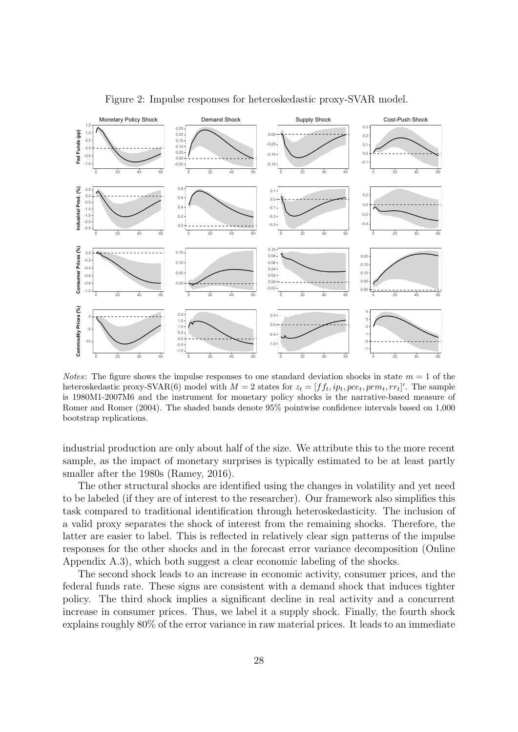<span id="page-28-0"></span>

Figure 2: Impulse responses for heteroskedastic proxy-SVAR model.

*Notes*: The figure shows the impulse responses to one standard deviation shocks in state  $m = 1$  of the heteroskedastic proxy-SVAR(6) model with  $M = 2$  states for  $z_t = [f f_t, ip_t, pce_t, prm_t, rr_t]'$ . The sample is 1980M1-2007M6 and the instrument for monetary policy shocks is the narrative-based measure of Romer and Romer (2004). The shaded bands denote 95% pointwise confidence intervals based on 1,000 bootstrap replications.

industrial production are only about half of the size. We attribute this to the more recent sample, as the impact of monetary surprises is typically estimated to be at least partly smaller after the 1980s (Ramey, 2016).

The other structural shocks are identified using the changes in volatility and yet need to be labeled (if they are of interest to the researcher). Our framework also simplifies this task compared to traditional identification through heteroskedasticity. The inclusion of a valid proxy separates the shock of interest from the remaining shocks. Therefore, the latter are easier to label. This is reflected in relatively clear sign patterns of the impulse responses for the other shocks and in the forecast error variance decomposition (Online Appendix A.3), which both suggest a clear economic labeling of the shocks.

The second shock leads to an increase in economic activity, consumer prices, and the federal funds rate. These signs are consistent with a demand shock that induces tighter policy. The third shock implies a significant decline in real activity and a concurrent increase in consumer prices. Thus, we label it a supply shock. Finally, the fourth shock explains roughly 80% of the error variance in raw material prices. It leads to an immediate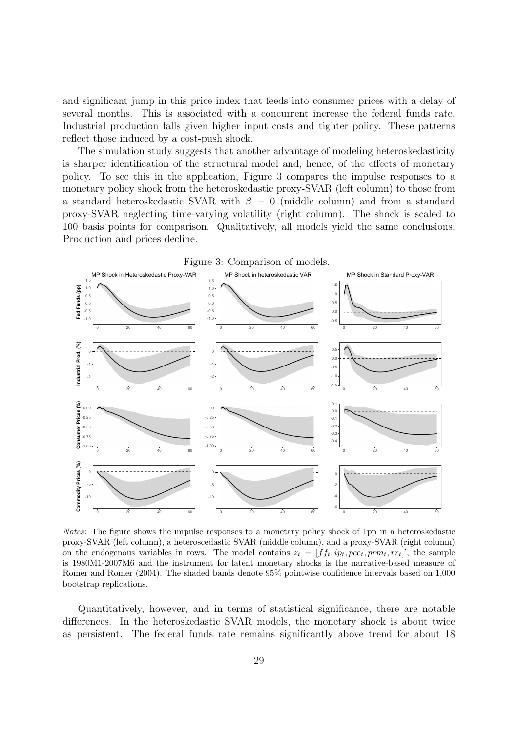and significant jump in this price index that feeds into consumer prices with a delay of several months. This is associated with a concurrent increase the federal funds rate. Industrial production falls given higher input costs and tighter policy. These patterns reflect those induced by a cost-push shock.

The simulation study suggests that another advantage of modeling heteroskedasticity is sharper identification of the structural model and, hence, of the effects of monetary policy. To see this in the application, Figure [3](#page-29-0) compares the impulse responses to a monetary policy shock from the heteroskedastic proxy-SVAR (left column) to those from a standard heteroskedastic SVAR with  $\beta = 0$  (middle column) and from a standard proxy-SVAR neglecting time-varying volatility (right column). The shock is scaled to 100 basis points for comparison. Qualitatively, all models yield the same conclusions. Production and prices decline.

<span id="page-29-0"></span>

Notes: The figure shows the impulse responses to a monetary policy shock of 1pp in a heteroskedastic proxy-SVAR (left column), a heteroscedastic SVAR (middle column), and a proxy-SVAR (right column) on the endogenous variables in rows. The model contains  $z_t = [ff_t, ip_t, pce_t, prm_t, rr_t]'$ , the sample is 1980M1-2007M6 and the instrument for latent monetary shocks is the narrative-based measure of Romer and Romer (2004). The shaded bands denote 95% pointwise confidence intervals based on 1,000 bootstrap replications.

Quantitatively, however, and in terms of statistical significance, there are notable differences. In the heteroskedastic SVAR models, the monetary shock is about twice as persistent. The federal funds rate remains significantly above trend for about 18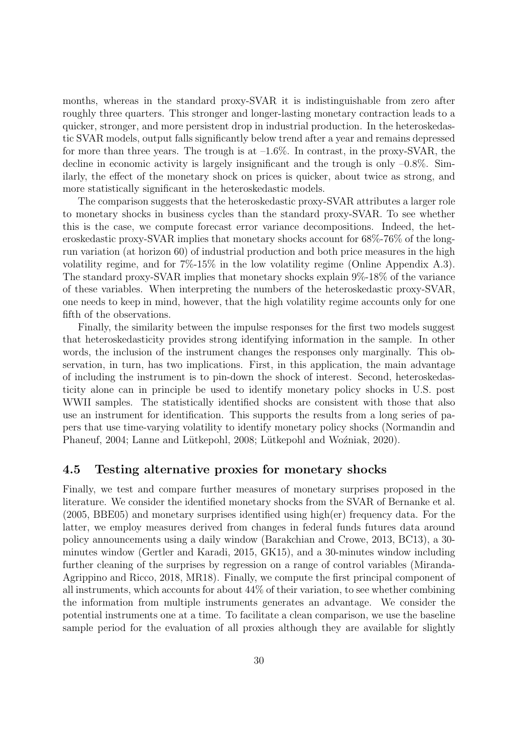months, whereas in the standard proxy-SVAR it is indistinguishable from zero after roughly three quarters. This stronger and longer-lasting monetary contraction leads to a quicker, stronger, and more persistent drop in industrial production. In the heteroskedastic SVAR models, output falls significantly below trend after a year and remains depressed for more than three years. The trough is at  $-1.6\%$ . In contrast, in the proxy-SVAR, the decline in economic activity is largely insignificant and the trough is only  $-0.8\%$ . Similarly, the effect of the monetary shock on prices is quicker, about twice as strong, and more statistically significant in the heteroskedastic models.

The comparison suggests that the heteroskedastic proxy-SVAR attributes a larger role to monetary shocks in business cycles than the standard proxy-SVAR. To see whether this is the case, we compute forecast error variance decompositions. Indeed, the heteroskedastic proxy-SVAR implies that monetary shocks account for 68%-76% of the longrun variation (at horizon 60) of industrial production and both price measures in the high volatility regime, and for 7%-15% in the low volatility regime (Online Appendix A.3). The standard proxy-SVAR implies that monetary shocks explain 9%-18% of the variance of these variables. When interpreting the numbers of the heteroskedastic proxy-SVAR, one needs to keep in mind, however, that the high volatility regime accounts only for one fifth of the observations.

Finally, the similarity between the impulse responses for the first two models suggest that heteroskedasticity provides strong identifying information in the sample. In other words, the inclusion of the instrument changes the responses only marginally. This observation, in turn, has two implications. First, in this application, the main advantage of including the instrument is to pin-down the shock of interest. Second, heteroskedasticity alone can in principle be used to identify monetary policy shocks in U.S. post WWII samples. The statistically identified shocks are consistent with those that also use an instrument for identification. This supports the results from a long series of papers that use time-varying volatility to identify monetary policy shocks (Normandin and Phaneuf, 2004; Lanne and Lütkepohl, 2008; Lütkepohl and Woźniak, 2020).

## 4.5 Testing alternative proxies for monetary shocks

Finally, we test and compare further measures of monetary surprises proposed in the literature. We consider the identified monetary shocks from the SVAR of Bernanke et al. (2005, BBE05) and monetary surprises identified using high(er) frequency data. For the latter, we employ measures derived from changes in federal funds futures data around policy announcements using a daily window (Barakchian and Crowe, 2013, BC13), a 30 minutes window (Gertler and Karadi, 2015, GK15), and a 30-minutes window including further cleaning of the surprises by regression on a range of control variables (Miranda-Agrippino and Ricco, 2018, MR18). Finally, we compute the first principal component of all instruments, which accounts for about 44% of their variation, to see whether combining the information from multiple instruments generates an advantage. We consider the potential instruments one at a time. To facilitate a clean comparison, we use the baseline sample period for the evaluation of all proxies although they are available for slightly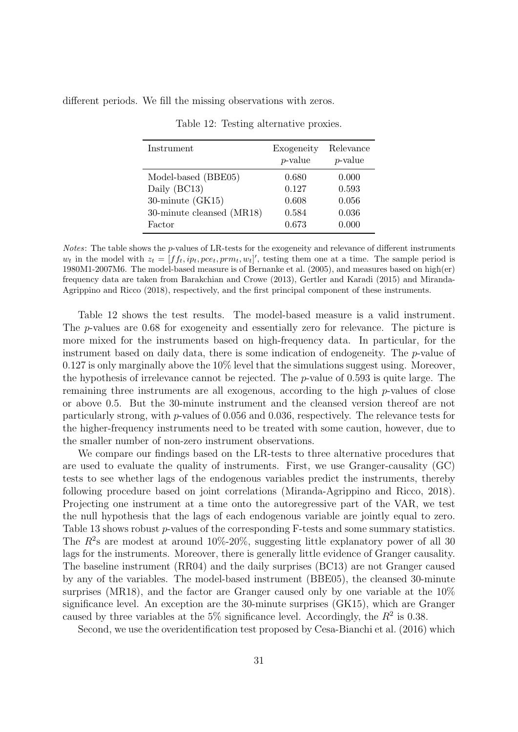<span id="page-31-0"></span>different periods. We fill the missing observations with zeros.

| Instrument                | Exogeneity<br>$p$ -value | Relevance<br><i>p</i> -value |
|---------------------------|--------------------------|------------------------------|
| Model-based (BBE05)       | 0.680                    | 0.000                        |
| Daily (BC13)              | 0.127                    | 0.593                        |
| 30-minute $(GK15)$        | 0.608                    | 0.056                        |
| 30-minute cleansed (MR18) | 0.584                    | 0.036                        |
| Factor                    | 0.673                    | 0.000                        |

Table 12: Testing alternative proxies.

Notes: The table shows the p-values of LR-tests for the exogeneity and relevance of different instruments  $w_t$  in the model with  $z_t = [ff_t, ip_t, pce_t, prm_t, w_t]'$ , testing them one at a time. The sample period is 1980M1-2007M6. The model-based measure is of Bernanke et al. (2005), and measures based on high(er) frequency data are taken from Barakchian and Crowe (2013), Gertler and Karadi (2015) and Miranda-Agrippino and Ricco (2018), respectively, and the first principal component of these instruments.

Table [12](#page-31-0) shows the test results. The model-based measure is a valid instrument. The p-values are 0.68 for exogeneity and essentially zero for relevance. The picture is more mixed for the instruments based on high-frequency data. In particular, for the instrument based on daily data, there is some indication of endogeneity. The p-value of 0.127 is only marginally above the 10% level that the simulations suggest using. Moreover, the hypothesis of irrelevance cannot be rejected. The p-value of 0.593 is quite large. The remaining three instruments are all exogenous, according to the high  $p$ -values of close or above 0.5. But the 30-minute instrument and the cleansed version thereof are not particularly strong, with p-values of 0.056 and 0.036, respectively. The relevance tests for the higher-frequency instruments need to be treated with some caution, however, due to the smaller number of non-zero instrument observations.

We compare our findings based on the LR-tests to three alternative procedures that are used to evaluate the quality of instruments. First, we use Granger-causality (GC) tests to see whether lags of the endogenous variables predict the instruments, thereby following procedure based on joint correlations (Miranda-Agrippino and Ricco, 2018). Projecting one instrument at a time onto the autoregressive part of the VAR, we test the null hypothesis that the lags of each endogenous variable are jointly equal to zero. [Table 13](#page-32-0) shows robust p-values of the corresponding F-tests and some summary statistics. The  $R^2$ s are modest at around 10%-20%, suggesting little explanatory power of all 30 lags for the instruments. Moreover, there is generally little evidence of Granger causality. The baseline instrument (RR04) and the daily surprises (BC13) are not Granger caused by any of the variables. The model-based instrument (BBE05), the cleansed 30-minute surprises (MR18), and the factor are Granger caused only by one variable at the 10% significance level. An exception are the 30-minute surprises (GK15), which are Granger caused by three variables at the 5% significance level. Accordingly, the  $R^2$  is 0.38.

Second, we use the overidentification test proposed by Cesa-Bianchi et al. (2016) which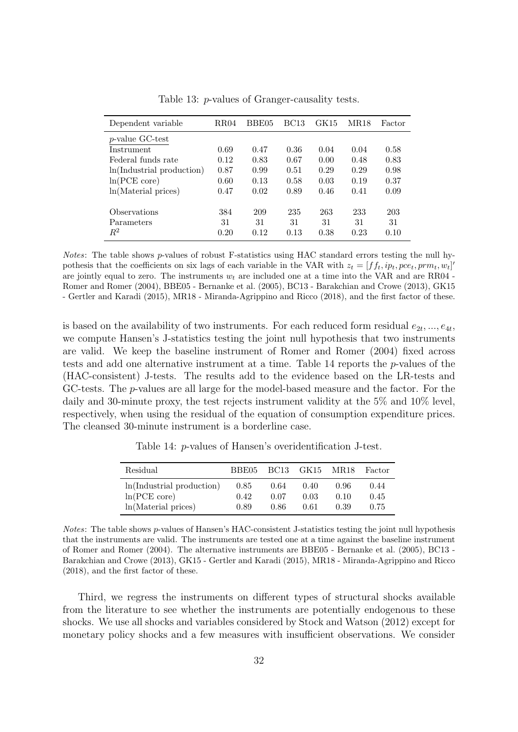<span id="page-32-0"></span>

| Dependent variable        | <b>RR04</b> | BBE05 | <b>BC13</b> | GK15 | MR18 | Factor |
|---------------------------|-------------|-------|-------------|------|------|--------|
| $p$ -value GC-test        |             |       |             |      |      |        |
| Instrument                | 0.69        | 0.47  | 0.36        | 0.04 | 0.04 | 0.58   |
| Federal funds rate        | 0.12        | 0.83  | 0.67        | 0.00 | 0.48 | 0.83   |
| ln(Industrial production) | 0.87        | 0.99  | 0.51        | 0.29 | 0.29 | 0.98   |
| ln(PCE core)              | 0.60        | 0.13  | 0.58        | 0.03 | 0.19 | 0.37   |
| ln(Material prices)       | 0.47        | 0.02  | 0.89        | 0.46 | 0.41 | 0.09   |
| Observations              | 384         | 209   | 235         | 263  | 233  | 203    |
| Parameters                | 31          | 31    | 31          | 31   | 31   | 31     |
| $\,R^2$                   | 0.20        | 0.12  | 0.13        | 0.38 | 0.23 | 0.10   |

Table 13: p-values of Granger-causality tests.

Notes: The table shows p-values of robust F-statistics using HAC standard errors testing the null hypothesis that the coefficients on six lags of each variable in the VAR with  $z_t = [ff_t, ip_t, pce_t, prm_t, w_t]'$ are jointly equal to zero. The instruments  $w_t$  are included one at a time into the VAR and are RR04 -Romer and Romer (2004), BBE05 - Bernanke et al. (2005), BC13 - Barakchian and Crowe (2013), GK15 - Gertler and Karadi (2015), MR18 - Miranda-Agrippino and Ricco (2018), and the first factor of these.

is based on the availability of two instruments. For each reduced form residual  $e_{2t},...,e_{4t}$ , we compute Hansen's J-statistics testing the joint null hypothesis that two instruments are valid. We keep the baseline instrument of Romer and Romer (2004) fixed across tests and add one alternative instrument at a time. [Table 14](#page-32-1) reports the p-values of the (HAC-consistent) J-tests. The results add to the evidence based on the LR-tests and GC-tests. The p-values are all large for the model-based measure and the factor. For the daily and 30-minute proxy, the test rejects instrument validity at the 5% and 10% level, respectively, when using the residual of the equation of consumption expenditure prices. The cleansed 30-minute instrument is a borderline case.

Table 14: p-values of Hansen's overidentification J-test.

<span id="page-32-1"></span>

| Residual                  | BBE05 | BC13 | GK15 | MR.18 | Factor |
|---------------------------|-------|------|------|-------|--------|
| ln(Industrial production) | 0.85  | 0.64 | 0.40 | 0.96  | 0.44   |
| ln(PCE core)              | 0.42  | 0.07 | 0.03 | 0.10  | 0.45   |
| ln(Material prices)       | 0.89  | 0.86 | 0.61 | 0.39  | 0.75   |

Notes: The table shows p-values of Hansen's HAC-consistent J-statistics testing the joint null hypothesis that the instruments are valid. The instruments are tested one at a time against the baseline instrument of Romer and Romer (2004). The alternative instruments are BBE05 - Bernanke et al. (2005), BC13 - Barakchian and Crowe (2013), GK15 - Gertler and Karadi (2015), MR18 - Miranda-Agrippino and Ricco (2018), and the first factor of these.

Third, we regress the instruments on different types of structural shocks available from the literature to see whether the instruments are potentially endogenous to these shocks. We use all shocks and variables considered by Stock and Watson (2012) except for monetary policy shocks and a few measures with insufficient observations. We consider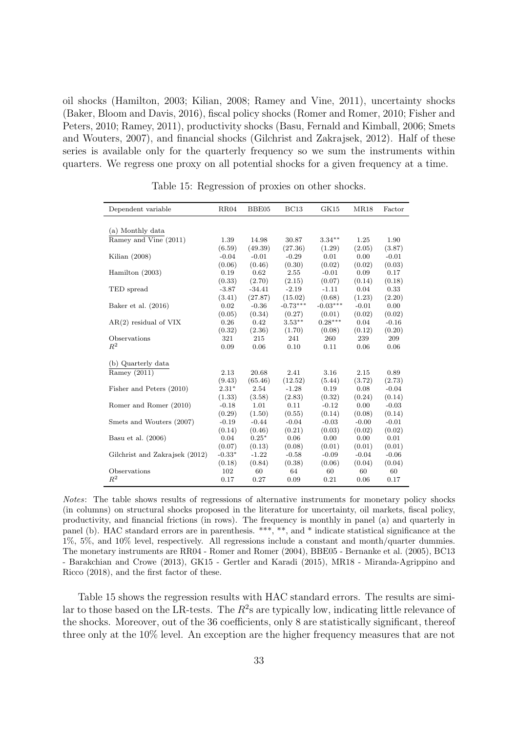oil shocks (Hamilton, 2003; Kilian, 2008; Ramey and Vine, 2011), uncertainty shocks (Baker, Bloom and Davis, 2016), fiscal policy shocks (Romer and Romer, 2010; Fisher and Peters, 2010; Ramey, 2011), productivity shocks (Basu, Fernald and Kimball, 2006; Smets and Wouters, 2007), and financial shocks (Gilchrist and Zakrajsek, 2012). Half of these series is available only for the quarterly frequency so we sum the instruments within quarters. We regress one proxy on all potential shocks for a given frequency at a time.

<span id="page-33-0"></span>

| Dependent variable             | RR04     | BBE05    | BC13       | GK15       | <b>MR18</b> | Factor  |
|--------------------------------|----------|----------|------------|------------|-------------|---------|
|                                |          |          |            |            |             |         |
| (a) Monthly data               |          |          |            |            |             |         |
| Ramey and Vine (2011)          | 1.39     | 14.98    | 30.87      | $3.34***$  | 1.25        | 1.90    |
|                                | (6.59)   | (49.39)  | (27.36)    | (1.29)     | (2.05)      | (3.87)  |
| Kilian $(2008)$                | $-0.04$  | $-0.01$  | $-0.29$    | 0.01       | 0.00        | $-0.01$ |
|                                | (0.06)   | (0.46)   | (0.30)     | (0.02)     | (0.02)      | (0.03)  |
| Hamilton $(2003)$              | 0.19     | 0.62     | 2.55       | $-0.01$    | 0.09        | 0.17    |
|                                | (0.33)   | (2.70)   | (2.15)     | (0.07)     | (0.14)      | (0.18)  |
| TED spread                     | $-3.87$  | $-34.41$ | $-2.19$    | $-1.11$    | 0.04        | 0.33    |
|                                | (3.41)   | (27.87)  | (15.02)    | (0.68)     | (1.23)      | (2.20)  |
| Baker et al. $(2016)$          | 0.02     | $-0.36$  | $-0.73***$ | $-0.03***$ | $-0.01$     | 0.00    |
|                                | (0.05)   | (0.34)   | (0.27)     | (0.01)     | (0.02)      | (0.02)  |
| $AR(2)$ residual of VIX        | 0.26     | 0.42     | $3.53***$  | $0.28***$  | 0.04        | $-0.16$ |
|                                | (0.32)   | (2.36)   | (1.70)     | (0.08)     | (0.12)      | (0.20)  |
| Observations                   | 321      | 215      | 241        | 260        | 239         | 209     |
| $R^2$                          | 0.09     | 0.06     | 0.10       | 0.11       | 0.06        | 0.06    |
|                                |          |          |            |            |             |         |
| (b) Quarterly data             |          |          |            |            |             |         |
| Ramey (2011)                   | 2.13     | 20.68    | 2.41       | 3.16       | 2.15        | 0.89    |
|                                | (9.43)   | (65.46)  | (12.52)    | (5.44)     | (3.72)      | (2.73)  |
| Fisher and Peters (2010)       | $2.31*$  | 2.54     | $-1.28$    | 0.19       | 0.08        | $-0.04$ |
|                                | (1.33)   | (3.58)   | (2.83)     | (0.32)     | (0.24)      | (0.14)  |
| Romer and Romer (2010)         | $-0.18$  | 1.01     | 0.11       | $-0.12$    | 0.00        | $-0.03$ |
|                                | (0.29)   | (1.50)   | (0.55)     | (0.14)     | (0.08)      | (0.14)  |
| Smets and Wouters (2007)       | $-0.19$  | $-0.44$  | $-0.04$    | $-0.03$    | $-0.00$     | $-0.01$ |
|                                | (0.14)   | (0.46)   | (0.21)     | (0.03)     | (0.02)      | (0.02)  |
| Basu et al. $(2006)$           | 0.04     | $0.25*$  | 0.06       | 0.00       | 0.00        | 0.01    |
|                                | (0.07)   | (0.13)   | (0.08)     | (0.01)     | (0.01)      | (0.01)  |
| Gilchrist and Zakrajsek (2012) | $-0.33*$ | $-1.22$  | $-0.58$    | $-0.09$    | $-0.04$     | $-0.06$ |
|                                | (0.18)   | (0.84)   | (0.38)     | (0.06)     | (0.04)      | (0.04)  |
| Observations                   | 102      | 60       | 64         | 60         | 60          | 60      |
| $R^2$                          | 0.17     | 0.27     | 0.09       | 0.21       | 0.06        | 0.17    |

Table 15: Regression of proxies on other shocks.

Notes: The table shows results of regressions of alternative instruments for monetary policy shocks (in columns) on structural shocks proposed in the literature for uncertainty, oil markets, fiscal policy, productivity, and financial frictions (in rows). The frequency is monthly in panel (a) and quarterly in panel (b). HAC standard errors are in parenthesis. \*\*\*, \*\*, and \* indicate statistical significance at the 1%, 5%, and 10% level, respectively. All regressions include a constant and month/quarter dummies. The monetary instruments are RR04 - Romer and Romer (2004), BBE05 - Bernanke et al. (2005), BC13 - Barakchian and Crowe (2013), GK15 - Gertler and Karadi (2015), MR18 - Miranda-Agrippino and Ricco (2018), and the first factor of these.

[Table 15](#page-33-0) shows the regression results with HAC standard errors. The results are similar to those based on the LR-tests. The  $R^2$ s are typically low, indicating little relevance of the shocks. Moreover, out of the 36 coefficients, only 8 are statistically significant, thereof three only at the 10% level. An exception are the higher frequency measures that are not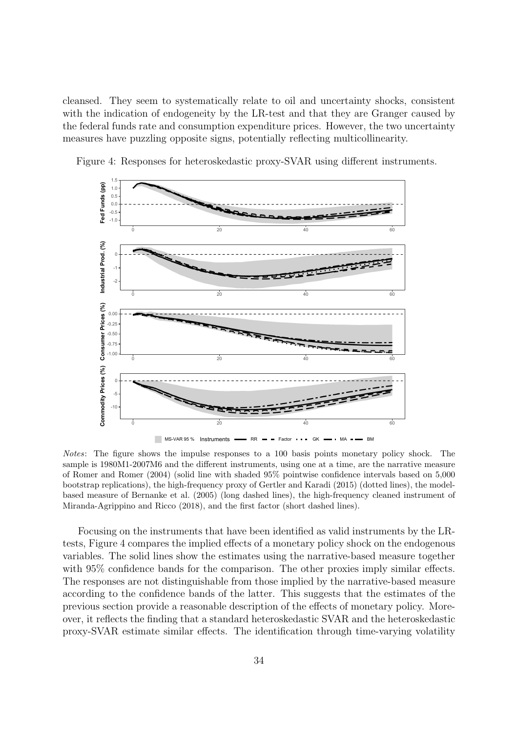cleansed. They seem to systematically relate to oil and uncertainty shocks, consistent with the indication of endogeneity by the LR-test and that they are Granger caused by the federal funds rate and consumption expenditure prices. However, the two uncertainty measures have puzzling opposite signs, potentially reflecting multicollinearity.



<span id="page-34-0"></span>Figure 4: Responses for heteroskedastic proxy-SVAR using different instruments.

Notes: The figure shows the impulse responses to a 100 basis points monetary policy shock. The sample is 1980M1-2007M6 and the different instruments, using one at a time, are the narrative measure of Romer and Romer (2004) (solid line with shaded 95% pointwise confidence intervals based on 5,000 bootstrap replications), the high-frequency proxy of Gertler and Karadi (2015) (dotted lines), the modelbased measure of Bernanke et al. (2005) (long dashed lines), the high-frequency cleaned instrument of Miranda-Agrippino and Ricco (2018), and the first factor (short dashed lines).

Focusing on the instruments that have been identified as valid instruments by the LRtests, Figure [4](#page-34-0) compares the implied effects of a monetary policy shock on the endogenous variables. The solid lines show the estimates using the narrative-based measure together with 95% confidence bands for the comparison. The other proxies imply similar effects. The responses are not distinguishable from those implied by the narrative-based measure according to the confidence bands of the latter. This suggests that the estimates of the previous section provide a reasonable description of the effects of monetary policy. Moreover, it reflects the finding that a standard heteroskedastic SVAR and the heteroskedastic proxy-SVAR estimate similar effects. The identification through time-varying volatility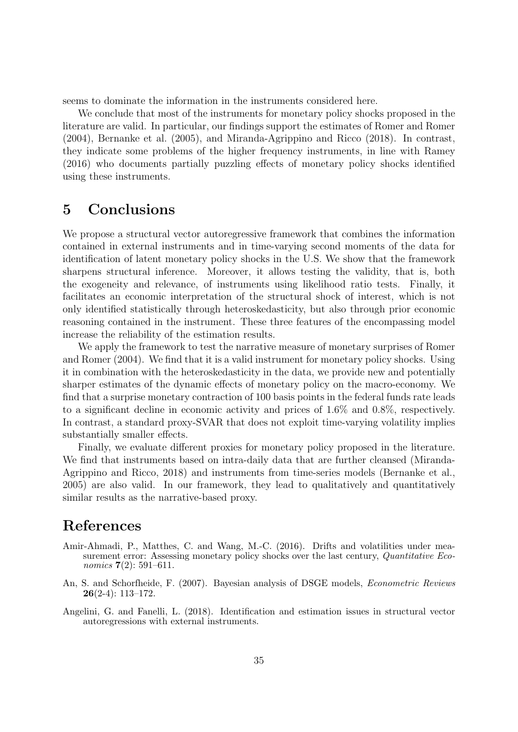seems to dominate the information in the instruments considered here.

We conclude that most of the instruments for monetary policy shocks proposed in the literature are valid. In particular, our findings support the estimates of Romer and Romer (2004), Bernanke et al. (2005), and Miranda-Agrippino and Ricco (2018). In contrast, they indicate some problems of the higher frequency instruments, in line with Ramey (2016) who documents partially puzzling effects of monetary policy shocks identified using these instruments.

# <span id="page-35-0"></span>5 Conclusions

We propose a structural vector autoregressive framework that combines the information contained in external instruments and in time-varying second moments of the data for identification of latent monetary policy shocks in the U.S. We show that the framework sharpens structural inference. Moreover, it allows testing the validity, that is, both the exogeneity and relevance, of instruments using likelihood ratio tests. Finally, it facilitates an economic interpretation of the structural shock of interest, which is not only identified statistically through heteroskedasticity, but also through prior economic reasoning contained in the instrument. These three features of the encompassing model increase the reliability of the estimation results.

We apply the framework to test the narrative measure of monetary surprises of Romer and Romer (2004). We find that it is a valid instrument for monetary policy shocks. Using it in combination with the heteroskedasticity in the data, we provide new and potentially sharper estimates of the dynamic effects of monetary policy on the macro-economy. We find that a surprise monetary contraction of 100 basis points in the federal funds rate leads to a significant decline in economic activity and prices of 1.6% and 0.8%, respectively. In contrast, a standard proxy-SVAR that does not exploit time-varying volatility implies substantially smaller effects.

Finally, we evaluate different proxies for monetary policy proposed in the literature. We find that instruments based on intra-daily data that are further cleansed (Miranda-Agrippino and Ricco, 2018) and instruments from time-series models (Bernanke et al., 2005) are also valid. In our framework, they lead to qualitatively and quantitatively similar results as the narrative-based proxy.

# References

- Amir-Ahmadi, P., Matthes, C. and Wang, M.-C. (2016). Drifts and volatilities under measurement error: Assessing monetary policy shocks over the last century, Quantitative Economics  $7(2)$ : 591-611.
- An, S. and Schorfheide, F. (2007). Bayesian analysis of DSGE models, Econometric Reviews 26(2-4): 113–172.
- Angelini, G. and Fanelli, L. (2018). Identification and estimation issues in structural vector autoregressions with external instruments.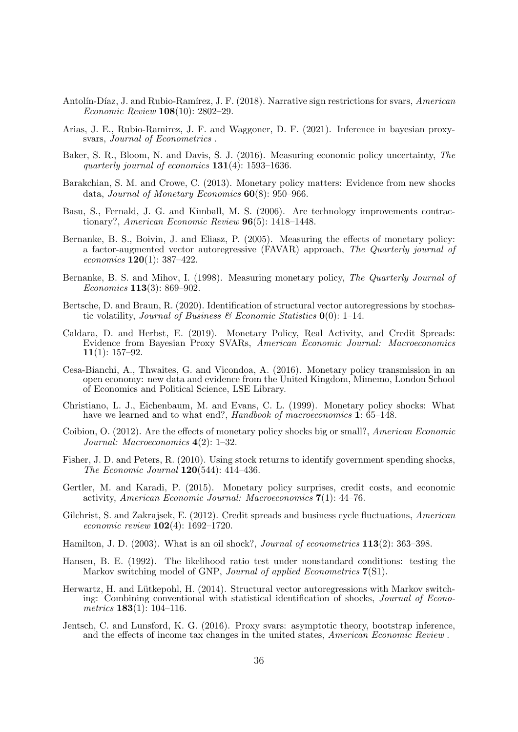- Antolín-Díaz, J. and Rubio-Ramírez, J. F. (2018). Narrative sign restrictions for svars, American Economic Review 108(10): 2802–29.
- Arias, J. E., Rubio-Ramirez, J. F. and Waggoner, D. F. (2021). Inference in bayesian proxysvars, Journal of Econometrics .
- Baker, S. R., Bloom, N. and Davis, S. J. (2016). Measuring economic policy uncertainty, The quarterly journal of economics 131(4): 1593–1636.
- Barakchian, S. M. and Crowe, C. (2013). Monetary policy matters: Evidence from new shocks data, Journal of Monetary Economics 60(8): 950–966.
- Basu, S., Fernald, J. G. and Kimball, M. S. (2006). Are technology improvements contractionary?, American Economic Review 96(5): 1418–1448.
- Bernanke, B. S., Boivin, J. and Eliasz, P. (2005). Measuring the effects of monetary policy: a factor-augmented vector autoregressive (FAVAR) approach, The Quarterly journal of economics 120(1): 387–422.
- Bernanke, B. S. and Mihov, I. (1998). Measuring monetary policy, The Quarterly Journal of Economics 113(3): 869–902.
- Bertsche, D. and Braun, R. (2020). Identification of structural vector autoregressions by stochastic volatility, Journal of Business & Economic Statistics  $\mathbf{0}(0)$ : 1–14.
- Caldara, D. and Herbst, E. (2019). Monetary Policy, Real Activity, and Credit Spreads: Evidence from Bayesian Proxy SVARs, American Economic Journal: Macroeconomics 11(1):  $157-92$ .
- Cesa-Bianchi, A., Thwaites, G. and Vicondoa, A. (2016). Monetary policy transmission in an open economy: new data and evidence from the United Kingdom, Mimemo, London School of Economics and Political Science, LSE Library.
- Christiano, L. J., Eichenbaum, M. and Evans, C. L. (1999). Monetary policy shocks: What have we learned and to what end?, Handbook of macroeconomics  $\hat{\mathbf{I}}$ : 65–148.
- Coibion, O. (2012). Are the effects of monetary policy shocks big or small?, American Economic Journal: Macroeconomics 4(2): 1–32.
- Fisher, J. D. and Peters, R. (2010). Using stock returns to identify government spending shocks, The Economic Journal 120(544): 414–436.
- Gertler, M. and Karadi, P. (2015). Monetary policy surprises, credit costs, and economic activity, American Economic Journal: Macroeconomics 7(1): 44–76.
- Gilchrist, S. and Zakrajsek, E. (2012). Credit spreads and business cycle fluctuations, American economic review  $102(4)$ : 1692–1720.
- Hamilton, J. D. (2003). What is an oil shock?, *Journal of econometrics*  $113(2)$ : 363–398.
- Hansen, B. E. (1992). The likelihood ratio test under nonstandard conditions: testing the Markov switching model of GNP, Journal of applied Econometrics 7(S1).
- Herwartz, H. and Lütkepohl, H. (2014). Structural vector autoregressions with Markov switching: Combining conventional with statistical identification of shocks, Journal of Econometrics  $183(1)$ : 104-116.
- Jentsch, C. and Lunsford, K. G. (2016). Proxy svars: asymptotic theory, bootstrap inference, and the effects of income tax changes in the united states, American Economic Review .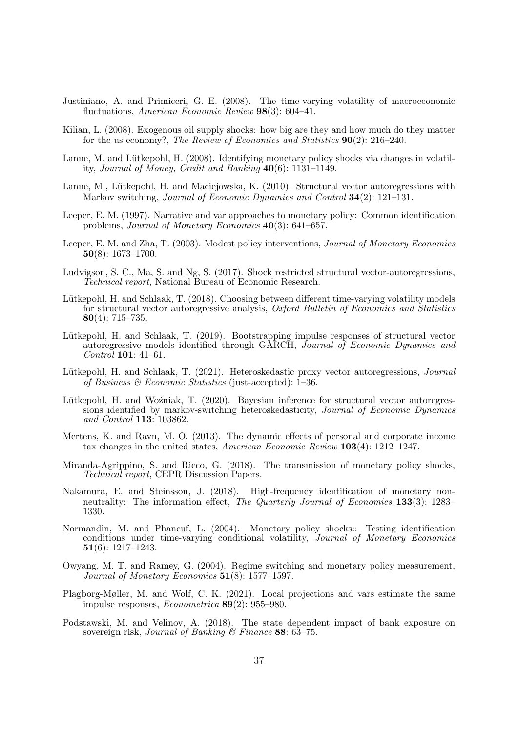- Justiniano, A. and Primiceri, G. E. (2008). The time-varying volatility of macroeconomic fluctuations, American Economic Review 98(3): 604–41.
- Kilian, L. (2008). Exogenous oil supply shocks: how big are they and how much do they matter for the us economy?, The Review of Economics and Statistics 90(2): 216–240.
- Lanne, M. and Lütkepohl, H. (2008). Identifying monetary policy shocks via changes in volatility, Journal of Money, Credit and Banking 40(6): 1131–1149.
- Lanne, M., Lütkepohl, H. and Maciejowska, K. (2010). Structural vector autoregressions with Markov switching, *Journal of Economic Dynamics and Control* **34**(2): 121–131.
- Leeper, E. M. (1997). Narrative and var approaches to monetary policy: Common identification problems, Journal of Monetary Economics 40(3): 641–657.
- Leeper, E. M. and Zha, T. (2003). Modest policy interventions, Journal of Monetary Economics 50(8): 1673–1700.
- Ludvigson, S. C., Ma, S. and Ng, S. (2017). Shock restricted structural vector-autoregressions, Technical report, National Bureau of Economic Research.
- Lütkepohl, H. and Schlaak, T. (2018). Choosing between different time-varying volatility models for structural vector autoregressive analysis, Oxford Bulletin of Economics and Statistics 80(4): 715–735.
- Lütkepohl, H. and Schlaak, T. (2019). Bootstrapping impulse responses of structural vector autoregressive models identified through GARCH, Journal of Economic Dynamics and Control 101: 41–61.
- Lütkepohl, H. and Schlaak, T. (2021). Heteroskedastic proxy vector autoregressions, *Journal* of Business  $\mathcal C$  Economic Statistics (just-accepted): 1–36.
- Lütkepohl, H. and Woźniak, T. (2020). Bayesian inference for structural vector autoregressions identified by markov-switching heteroskedasticity, Journal of Economic Dynamics and Control 113: 103862.
- Mertens, K. and Ravn, M. O. (2013). The dynamic effects of personal and corporate income tax changes in the united states, American Economic Review 103(4): 1212–1247.
- Miranda-Agrippino, S. and Ricco, G. (2018). The transmission of monetary policy shocks, Technical report, CEPR Discussion Papers.
- Nakamura, E. and Steinsson, J. (2018). High-frequency identification of monetary nonneutrality: The information effect, *The Quarterly Journal of Economics* 133(3): 1283– 1330.
- Normandin, M. and Phaneuf, L. (2004). Monetary policy shocks:: Testing identification conditions under time-varying conditional volatility, Journal of Monetary Economics  $\textbf{51}(6): 1217 - 1243.$
- Owyang, M. T. and Ramey, G. (2004). Regime switching and monetary policy measurement, Journal of Monetary Economics 51(8): 1577–1597.
- Plagborg-Møller, M. and Wolf, C. K. (2021). Local projections and vars estimate the same impulse responses, Econometrica 89(2): 955–980.
- Podstawski, M. and Velinov, A. (2018). The state dependent impact of bank exposure on sovereign risk, Journal of Banking  $\mathscr$  Finance 88: 63-75.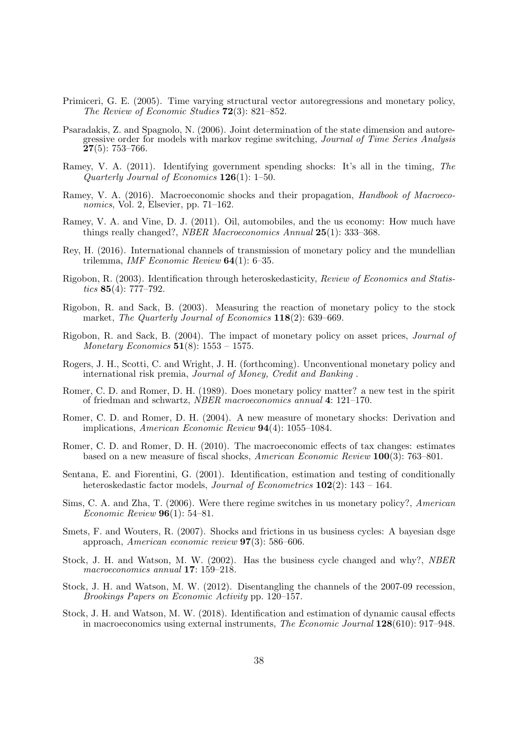- Primiceri, G. E. (2005). Time varying structural vector autoregressions and monetary policy, The Review of Economic Studies 72(3): 821–852.
- Psaradakis, Z. and Spagnolo, N. (2006). Joint determination of the state dimension and autoregressive order for models with markov regime switching, Journal of Time Series Analysis  $27(5): 753-766.$
- Ramey, V. A. (2011). Identifying government spending shocks: It's all in the timing, The Quarterly Journal of Economics 126(1): 1–50.
- Ramey, V. A. (2016). Macroeconomic shocks and their propagation, *Handbook of Macroeco*nomics, Vol. 2, Elsevier, pp. 71–162.
- Ramey, V. A. and Vine, D. J. (2011). Oil, automobiles, and the us economy: How much have things really changed?, NBER Macroeconomics Annual 25(1): 333–368.
- Rey, H. (2016). International channels of transmission of monetary policy and the mundellian trilemma, IMF Economic Review  $64(1)$ : 6-35.
- Rigobon, R. (2003). Identification through heteroskedasticity, Review of Economics and Statistics **85**(4): 777–792.
- Rigobon, R. and Sack, B. (2003). Measuring the reaction of monetary policy to the stock market, The Quarterly Journal of Economics 118(2): 639–669.
- Rigobon, R. and Sack, B. (2004). The impact of monetary policy on asset prices, Journal of *Monetary Economics*  $51(8)$ : 1553 – 1575.
- Rogers, J. H., Scotti, C. and Wright, J. H. (forthcoming). Unconventional monetary policy and international risk premia, Journal of Money, Credit and Banking .
- Romer, C. D. and Romer, D. H. (1989). Does monetary policy matter? a new test in the spirit of friedman and schwartz, NBER macroeconomics annual 4: 121–170.
- Romer, C. D. and Romer, D. H. (2004). A new measure of monetary shocks: Derivation and implications, American Economic Review 94(4): 1055–1084.
- Romer, C. D. and Romer, D. H. (2010). The macroeconomic effects of tax changes: estimates based on a new measure of fiscal shocks, American Economic Review 100(3): 763–801.
- Sentana, E. and Fiorentini, G. (2001). Identification, estimation and testing of conditionally heteroskedastic factor models, *Journal of Econometrics* **102**(2): 143 – 164.
- Sims, C. A. and Zha, T. (2006). Were there regime switches in us monetary policy?, American Economic Review 96(1): 54–81.
- Smets, F. and Wouters, R. (2007). Shocks and frictions in us business cycles: A bayesian dsge approach, American economic review 97(3): 586–606.
- Stock, J. H. and Watson, M. W. (2002). Has the business cycle changed and why?, NBER macroeconomics annual 17: 159–218.
- Stock, J. H. and Watson, M. W. (2012). Disentangling the channels of the 2007-09 recession, Brookings Papers on Economic Activity pp. 120–157.
- Stock, J. H. and Watson, M. W. (2018). Identification and estimation of dynamic causal effects in macroeconomics using external instruments, The Economic Journal 128(610): 917–948.